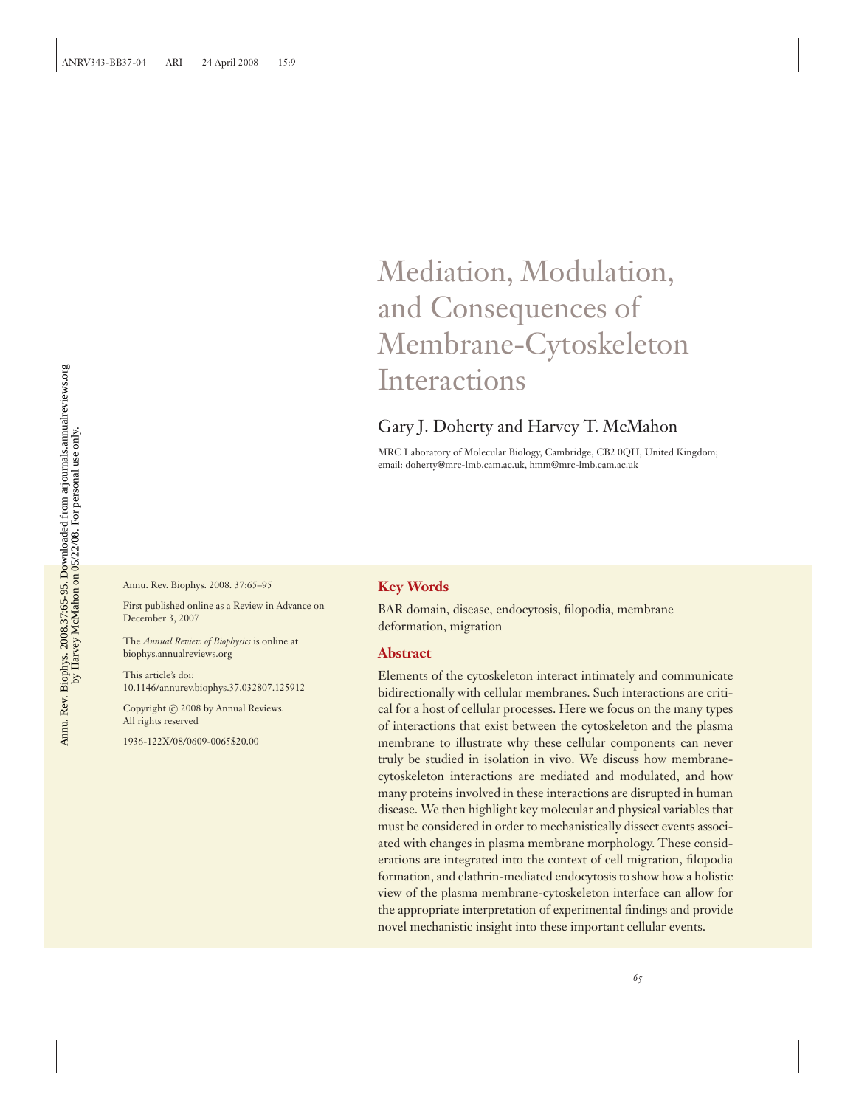## Mediation, Modulation, and Consequences of Membrane-Cytoskeleton Interactions

## Gary J. Doherty and Harvey T. McMahon

MRC Laboratory of Molecular Biology, Cambridge, CB2 0QH, United Kingdom; email: doherty@mrc-lmb.cam.ac.uk, hmm@mrc-lmb.cam.ac.uk

Annu. Rev. Biophys. 2008. 37:65–95

First published online as a Review in Advance on December 3, 2007

The *Annual Review of Biophysics* is online at biophys.annualreviews.org

This article's doi: 10.1146/annurev.biophys.37.032807.125912

Copyright © 2008 by Annual Reviews. All rights reserved

1936-122X/08/0609-0065\$20.00

#### **Key Words**

BAR domain, disease, endocytosis, filopodia, membrane deformation, migration

#### **Abstract**

Elements of the cytoskeleton interact intimately and communicate bidirectionally with cellular membranes. Such interactions are critical for a host of cellular processes. Here we focus on the many types of interactions that exist between the cytoskeleton and the plasma membrane to illustrate why these cellular components can never truly be studied in isolation in vivo. We discuss how membranecytoskeleton interactions are mediated and modulated, and how many proteins involved in these interactions are disrupted in human disease. We then highlight key molecular and physical variables that must be considered in order to mechanistically dissect events associated with changes in plasma membrane morphology. These considerations are integrated into the context of cell migration, filopodia formation, and clathrin-mediated endocytosis to show how a holistic view of the plasma membrane-cytoskeleton interface can allow for the appropriate interpretation of experimental findings and provide novel mechanistic insight into these important cellular events.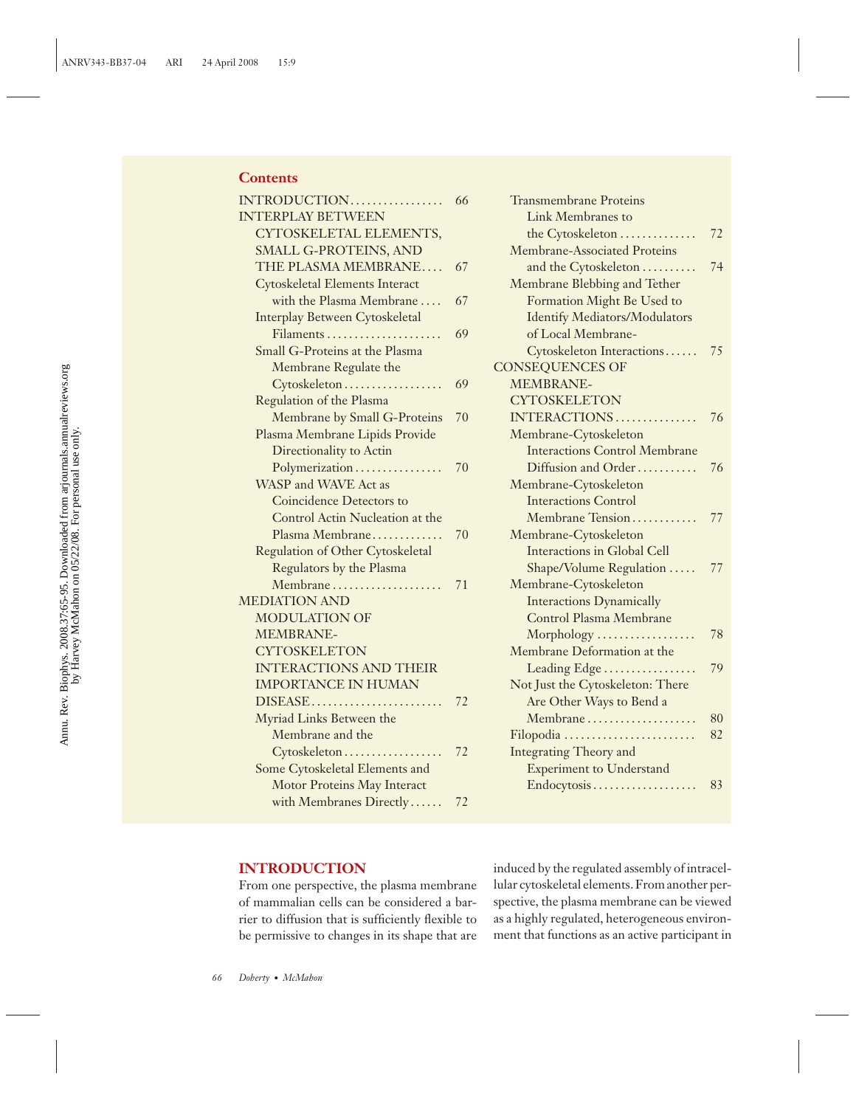#### **Contents**

| INTRODUCTION                          | 66 |
|---------------------------------------|----|
| <b>INTERPLAY BETWEEN</b>              |    |
| CYTOSKELETAL ELEMENTS,                |    |
| <b>SMALL G-PROTEINS, AND</b>          |    |
| THE PLASMA MEMBRANE                   | 67 |
| <b>Cytoskeletal Elements Interact</b> |    |
| with the Plasma Membrane              | 67 |
| Interplay Between Cytoskeletal        |    |
| Filaments                             | 69 |
| Small G-Proteins at the Plasma        |    |
| Membrane Regulate the                 |    |
| Cytoskeleton                          | 69 |
| Regulation of the Plasma              |    |
| Membrane by Small G-Proteins          | 70 |
| Plasma Membrane Lipids Provide        |    |
| Directionality to Actin               |    |
| Polymerization                        | 70 |
| WASP and WAVE Act as                  |    |
| Coincidence Detectors to              |    |
| Control Actin Nucleation at the       |    |
| Plasma Membrane                       | 70 |
| Regulation of Other Cytoskeletal      |    |
| Regulators by the Plasma              |    |
| Membrane                              | 71 |
| <b>MEDIATION AND</b>                  |    |
| <b>MODULATION OF</b>                  |    |
| <b>MEMBRANE-</b>                      |    |
| <b>CYTOSKELETON</b>                   |    |
| <b>INTERACTIONS AND THEIR</b>         |    |
| <b>IMPORTANCE IN HUMAN</b>            |    |
| DISEASE                               | 72 |
| Myriad Links Between the              |    |
| Membrane and the                      |    |
| Cytoskeleton                          | 72 |
| Some Cytoskeletal Elements and        |    |
| Motor Proteins May Interact           |    |
| with Membranes Directly               | 72 |

| <b>Transmembrane Proteins</b>        |    |
|--------------------------------------|----|
| Link Membranes to                    |    |
| the Cytoskeleton                     | 72 |
| Membrane-Associated Proteins         |    |
| and the Cytoskeleton                 | 74 |
| Membrane Blebbing and Tether         |    |
| Formation Might Be Used to           |    |
| <b>Identify Mediators/Modulators</b> |    |
| of Local Membrane-                   |    |
| Cytoskeleton Interactions            | 75 |
| <b>CONSEQUENCES OF</b>               |    |
| <b>MEMBRANE-</b>                     |    |
| <b>CYTOSKELETON</b>                  |    |
| INTERACTIONS                         | 76 |
| Membrane-Cytoskeleton                |    |
| <b>Interactions Control Membrane</b> |    |
| Diffusion and Order                  | 76 |
| Membrane-Cytoskeleton                |    |
| <b>Interactions Control</b>          |    |
| Membrane Tension                     | 77 |
| Membrane-Cytoskeleton                |    |
| <b>Interactions in Global Cell</b>   |    |
| Shape/Volume Regulation              | 77 |
| Membrane-Cytoskeleton                |    |
| <b>Interactions Dynamically</b>      |    |
| Control Plasma Membrane              |    |
| Morphology                           | 78 |
| Membrane Deformation at the          |    |
| Leading Edge                         | 79 |
| Not Just the Cytoskeleton: There     |    |
| Are Other Ways to Bend a             |    |
| Membrane                             | 80 |
| Filopodia                            | 82 |
| <b>Integrating Theory and</b>        |    |
| <b>Experiment to Understand</b>      |    |
| Endocytosis                          | 83 |
|                                      |    |

#### **INTRODUCTION**

From one perspective, the plasma membrane of mammalian cells can be considered a barrier to diffusion that is sufficiently flexible to be permissive to changes in its shape that are

induced by the regulated assembly of intracellular cytoskeletal elements. From another perspective, the plasma membrane can be viewed as a highly regulated, heterogeneous environment that functions as an active participant in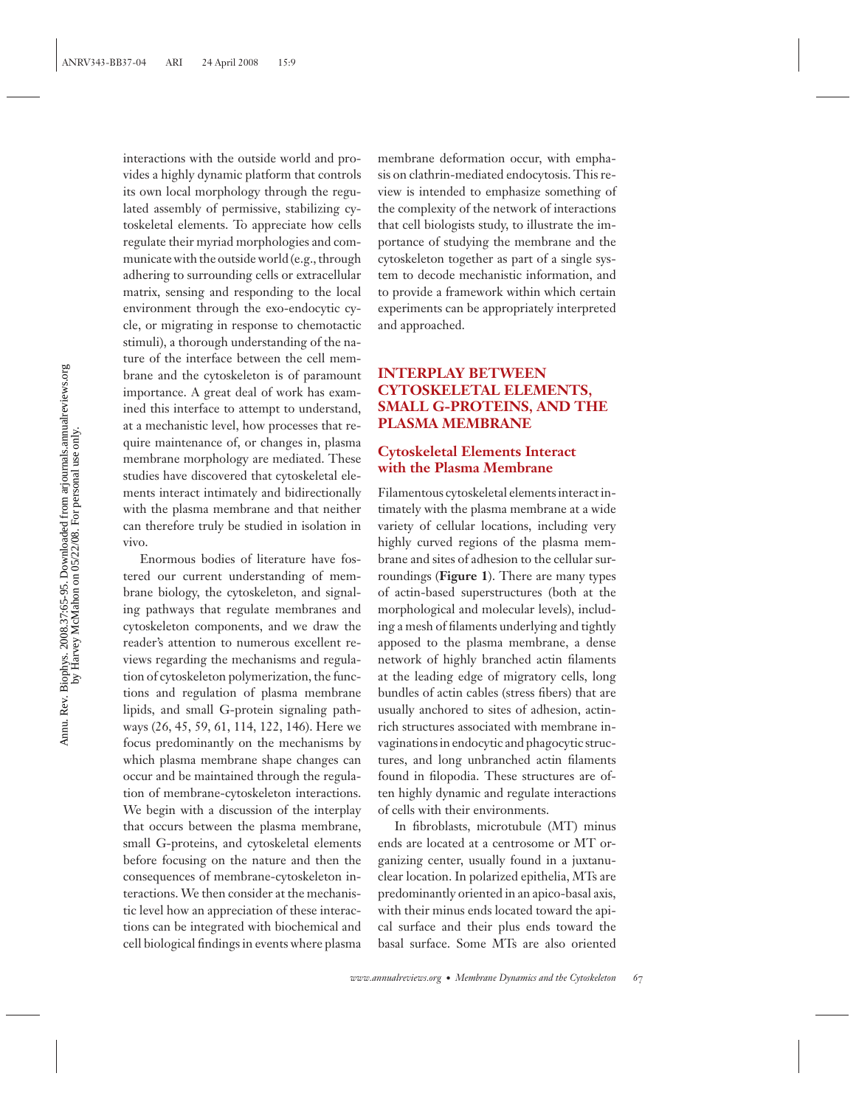interactions with the outside world and provides a highly dynamic platform that controls its own local morphology through the regulated assembly of permissive, stabilizing cytoskeletal elements. To appreciate how cells regulate their myriad morphologies and communicate with the outside world (e.g., through adhering to surrounding cells or extracellular matrix, sensing and responding to the local environment through the exo-endocytic cycle, or migrating in response to chemotactic stimuli), a thorough understanding of the nature of the interface between the cell membrane and the cytoskeleton is of paramount importance. A great deal of work has examined this interface to attempt to understand, at a mechanistic level, how processes that require maintenance of, or changes in, plasma membrane morphology are mediated. These studies have discovered that cytoskeletal elements interact intimately and bidirectionally with the plasma membrane and that neither can therefore truly be studied in isolation in vivo.

Enormous bodies of literature have fostered our current understanding of membrane biology, the cytoskeleton, and signaling pathways that regulate membranes and cytoskeleton components, and we draw the reader's attention to numerous excellent reviews regarding the mechanisms and regulation of cytoskeleton polymerization, the functions and regulation of plasma membrane lipids, and small G-protein signaling pathways (26, 45, 59, 61, 114, 122, 146). Here we focus predominantly on the mechanisms by which plasma membrane shape changes can occur and be maintained through the regulation of membrane-cytoskeleton interactions. We begin with a discussion of the interplay that occurs between the plasma membrane, small G-proteins, and cytoskeletal elements before focusing on the nature and then the consequences of membrane-cytoskeleton interactions. We then consider at the mechanistic level how an appreciation of these interactions can be integrated with biochemical and cell biological findings in events where plasma

membrane deformation occur, with emphasis on clathrin-mediated endocytosis. This review is intended to emphasize something of the complexity of the network of interactions that cell biologists study, to illustrate the importance of studying the membrane and the cytoskeleton together as part of a single system to decode mechanistic information, and to provide a framework within which certain experiments can be appropriately interpreted and approached.

## **INTERPLAY BETWEEN CYTOSKELETAL ELEMENTS, SMALL G-PROTEINS, AND THE PLASMA MEMBRANE**

#### **Cytoskeletal Elements Interact with the Plasma Membrane**

Filamentous cytoskeletal elements interact intimately with the plasma membrane at a wide variety of cellular locations, including very highly curved regions of the plasma membrane and sites of adhesion to the cellular surroundings (**Figure 1**). There are many types of actin-based superstructures (both at the morphological and molecular levels), including a mesh of filaments underlying and tightly apposed to the plasma membrane, a dense network of highly branched actin filaments at the leading edge of migratory cells, long bundles of actin cables (stress fibers) that are usually anchored to sites of adhesion, actinrich structures associated with membrane invaginations in endocytic and phagocytic structures, and long unbranched actin filaments found in filopodia. These structures are often highly dynamic and regulate interactions of cells with their environments.

In fibroblasts, microtubule (MT) minus ends are located at a centrosome or MT organizing center, usually found in a juxtanuclear location. In polarized epithelia, MTs are predominantly oriented in an apico-basal axis, with their minus ends located toward the apical surface and their plus ends toward the basal surface. Some MTs are also oriented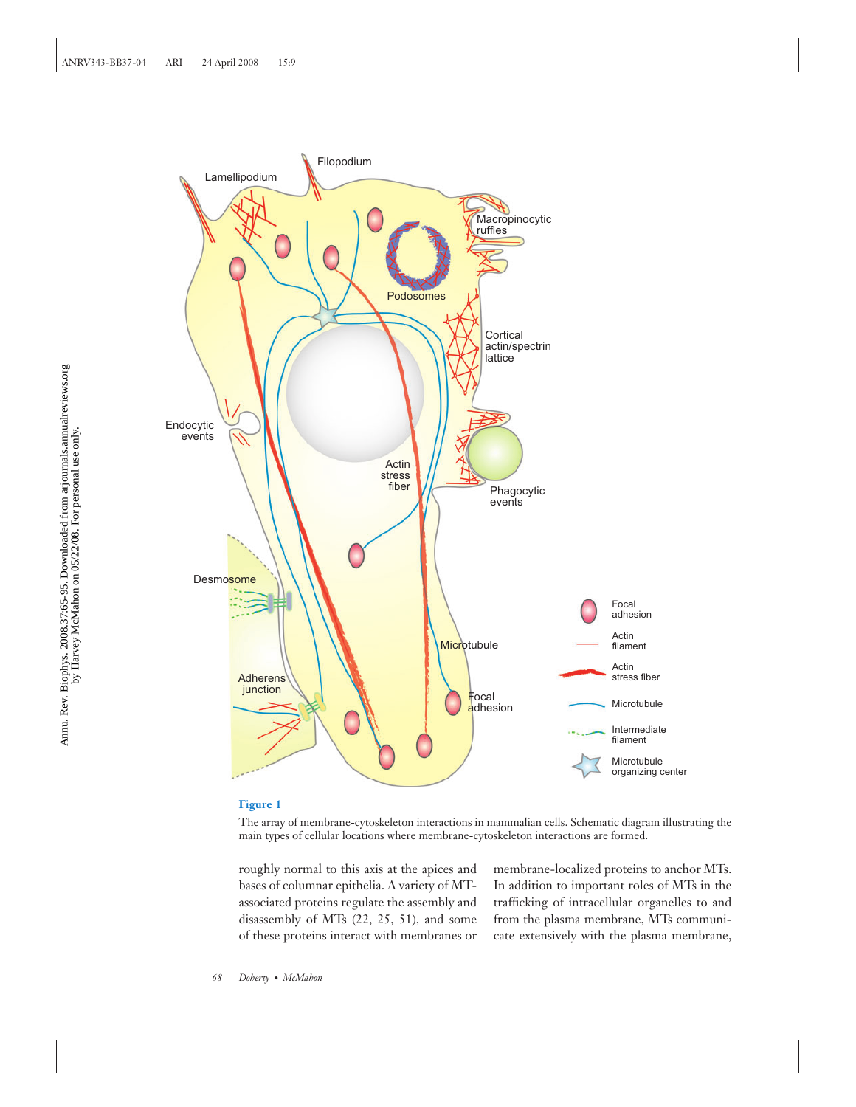

#### **Figure 1**

The array of membrane-cytoskeleton interactions in mammalian cells. Schematic diagram illustrating the main types of cellular locations where membrane-cytoskeleton interactions are formed.

roughly normal to this axis at the apices and bases of columnar epithelia. A variety of MTassociated proteins regulate the assembly and disassembly of MTs (22, 25, 51), and some of these proteins interact with membranes or membrane-localized proteins to anchor MTs. In addition to important roles of MTs in the trafficking of intracellular organelles to and from the plasma membrane, MTs communicate extensively with the plasma membrane,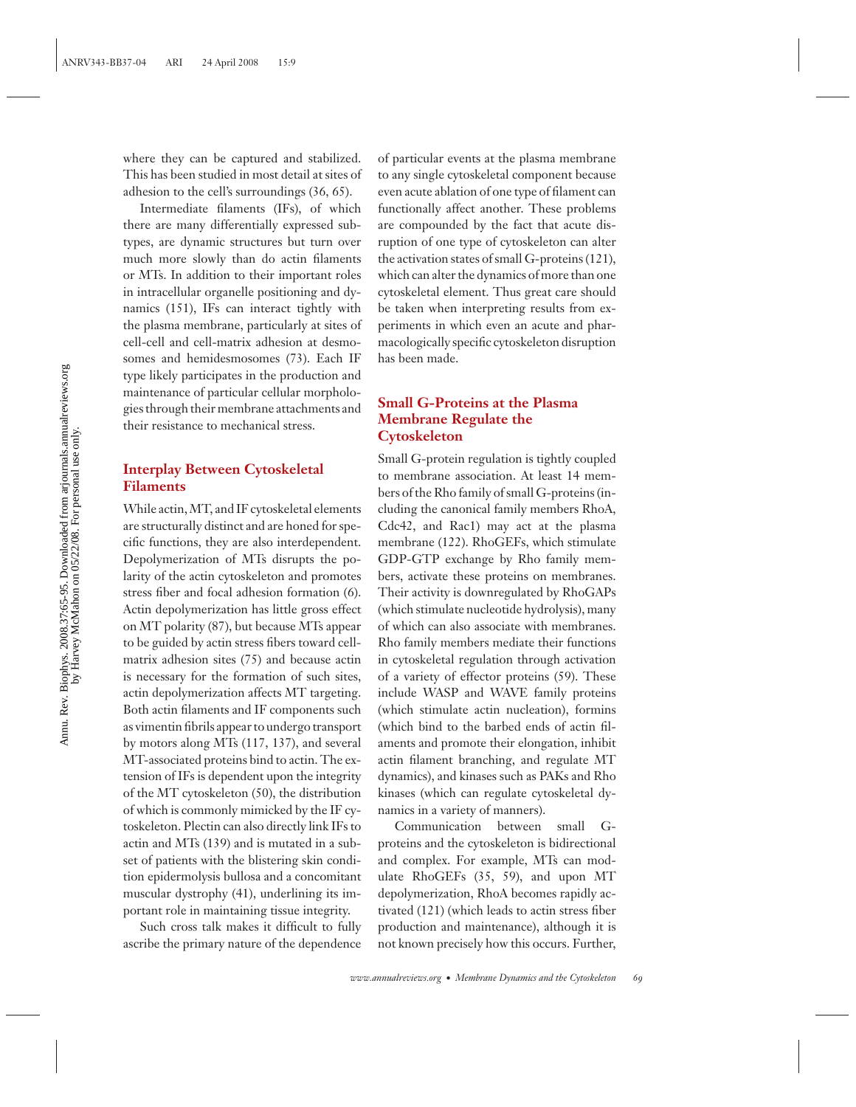where they can be captured and stabilized. This has been studied in most detail at sites of adhesion to the cell's surroundings (36, 65).

Intermediate filaments (IFs), of which there are many differentially expressed subtypes, are dynamic structures but turn over much more slowly than do actin filaments or MTs. In addition to their important roles in intracellular organelle positioning and dynamics (151), IFs can interact tightly with the plasma membrane, particularly at sites of cell-cell and cell-matrix adhesion at desmosomes and hemidesmosomes (73). Each IF type likely participates in the production and maintenance of particular cellular morphologies through their membrane attachments and their resistance to mechanical stress.

#### **Interplay Between Cytoskeletal Filaments**

While actin, MT, and IF cytoskeletal elements are structurally distinct and are honed for specific functions, they are also interdependent. Depolymerization of MTs disrupts the polarity of the actin cytoskeleton and promotes stress fiber and focal adhesion formation (6). Actin depolymerization has little gross effect on MT polarity (87), but because MTs appear to be guided by actin stress fibers toward cellmatrix adhesion sites (75) and because actin is necessary for the formation of such sites, actin depolymerization affects MT targeting. Both actin filaments and IF components such as vimentin fibrils appear to undergo transport by motors along MTs (117, 137), and several MT-associated proteins bind to actin. The extension of IFs is dependent upon the integrity of the MT cytoskeleton (50), the distribution of which is commonly mimicked by the IF cytoskeleton. Plectin can also directly link IFs to actin and MTs (139) and is mutated in a subset of patients with the blistering skin condition epidermolysis bullosa and a concomitant muscular dystrophy (41), underlining its important role in maintaining tissue integrity.

Such cross talk makes it difficult to fully ascribe the primary nature of the dependence of particular events at the plasma membrane to any single cytoskeletal component because even acute ablation of one type of filament can functionally affect another. These problems are compounded by the fact that acute disruption of one type of cytoskeleton can alter the activation states of small G-proteins (121), which can alter the dynamics of more than one cytoskeletal element. Thus great care should be taken when interpreting results from experiments in which even an acute and pharmacologically specific cytoskeleton disruption has been made.

#### **Small G-Proteins at the Plasma Membrane Regulate the Cytoskeleton**

Small G-protein regulation is tightly coupled to membrane association. At least 14 members of the Rho family of small G-proteins (including the canonical family members RhoA, Cdc42, and Rac1) may act at the plasma membrane (122). RhoGEFs, which stimulate GDP-GTP exchange by Rho family members, activate these proteins on membranes. Their activity is downregulated by RhoGAPs (which stimulate nucleotide hydrolysis), many of which can also associate with membranes. Rho family members mediate their functions in cytoskeletal regulation through activation of a variety of effector proteins (59). These include WASP and WAVE family proteins (which stimulate actin nucleation), formins (which bind to the barbed ends of actin filaments and promote their elongation, inhibit actin filament branching, and regulate MT dynamics), and kinases such as PAKs and Rho kinases (which can regulate cytoskeletal dynamics in a variety of manners).

Communication between small Gproteins and the cytoskeleton is bidirectional and complex. For example, MTs can modulate RhoGEFs (35, 59), and upon MT depolymerization, RhoA becomes rapidly activated (121) (which leads to actin stress fiber production and maintenance), although it is not known precisely how this occurs. Further,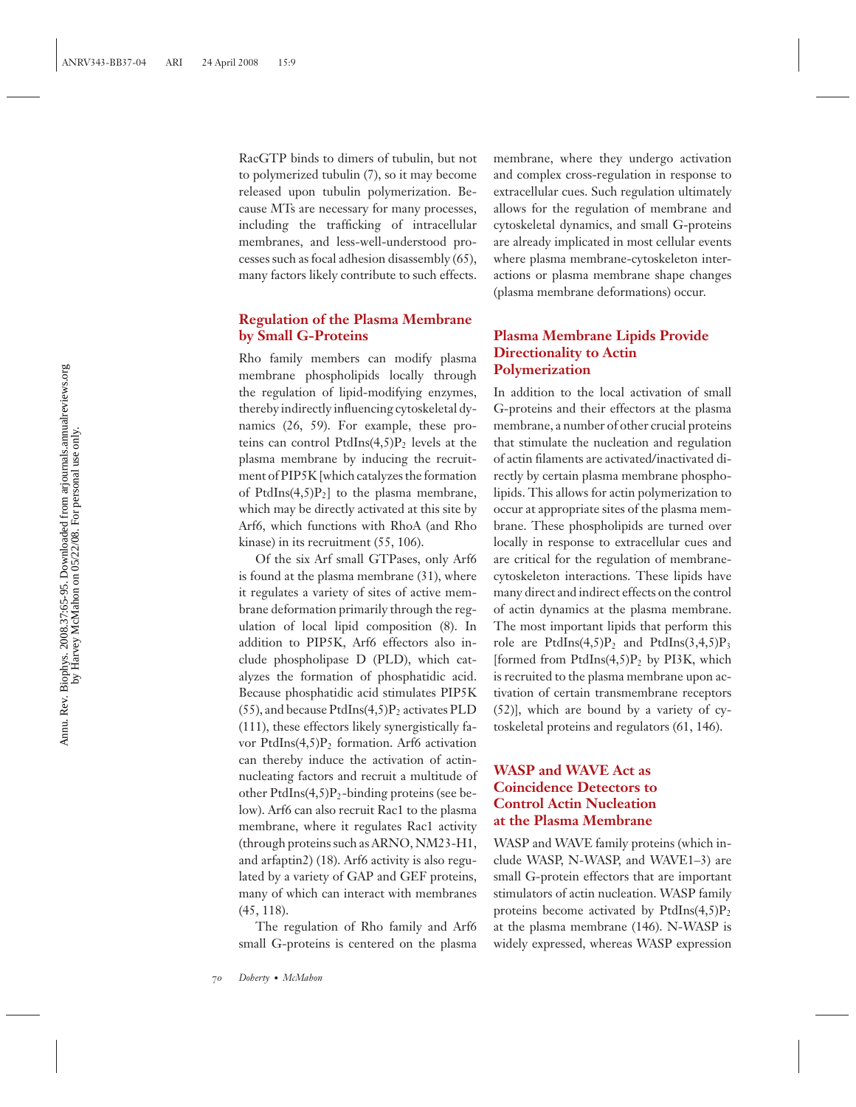RacGTP binds to dimers of tubulin, but not to polymerized tubulin (7), so it may become released upon tubulin polymerization. Because MTs are necessary for many processes, including the trafficking of intracellular membranes, and less-well-understood processes such as focal adhesion disassembly (65), many factors likely contribute to such effects.

#### **Regulation of the Plasma Membrane by Small G-Proteins**

Rho family members can modify plasma membrane phospholipids locally through the regulation of lipid-modifying enzymes, thereby indirectly influencing cytoskeletal dynamics (26, 59). For example, these proteins can control PtdIns $(4,5)P_2$  levels at the plasma membrane by inducing the recruitment of PIP5K [which catalyzes the formation of PtdIns $(4,5)P_2$ ] to the plasma membrane, which may be directly activated at this site by Arf6, which functions with RhoA (and Rho kinase) in its recruitment (55, 106).

Of the six Arf small GTPases, only Arf6 is found at the plasma membrane (31), where it regulates a variety of sites of active membrane deformation primarily through the regulation of local lipid composition (8). In addition to PIP5K, Arf6 effectors also include phospholipase D (PLD), which catalyzes the formation of phosphatidic acid. Because phosphatidic acid stimulates PIP5K (55), and because PtdIns $(4,5)P_2$  activates PLD (111), these effectors likely synergistically favor PtdIns $(4,5)P_2$  formation. Arf6 activation can thereby induce the activation of actinnucleating factors and recruit a multitude of other  $PtdIns(4,5)P_2$ -binding proteins (see below). Arf6 can also recruit Rac1 to the plasma membrane, where it regulates Rac1 activity (through proteins such as ARNO, NM23-H1, and arfaptin2) (18). Arf6 activity is also regulated by a variety of GAP and GEF proteins, many of which can interact with membranes (45, 118).

The regulation of Rho family and Arf6 small G-proteins is centered on the plasma membrane, where they undergo activation and complex cross-regulation in response to extracellular cues. Such regulation ultimately allows for the regulation of membrane and cytoskeletal dynamics, and small G-proteins are already implicated in most cellular events where plasma membrane-cytoskeleton interactions or plasma membrane shape changes (plasma membrane deformations) occur.

#### **Plasma Membrane Lipids Provide Directionality to Actin Polymerization**

In addition to the local activation of small G-proteins and their effectors at the plasma membrane, a number of other crucial proteins that stimulate the nucleation and regulation of actin filaments are activated/inactivated directly by certain plasma membrane phospholipids. This allows for actin polymerization to occur at appropriate sites of the plasma membrane. These phospholipids are turned over locally in response to extracellular cues and are critical for the regulation of membranecytoskeleton interactions. These lipids have many direct and indirect effects on the control of actin dynamics at the plasma membrane. The most important lipids that perform this role are PtdIns $(4,5)P_2$  and PtdIns $(3,4,5)P_3$ [formed from PtdIns $(4,5)P_2$  by PI3K, which is recruited to the plasma membrane upon activation of certain transmembrane receptors (52)], which are bound by a variety of cytoskeletal proteins and regulators (61, 146).

### **WASP and WAVE Act as Coincidence Detectors to Control Actin Nucleation at the Plasma Membrane**

WASP and WAVE family proteins (which include WASP, N-WASP, and WAVE1–3) are small G-protein effectors that are important stimulators of actin nucleation. WASP family proteins become activated by  $Ptdlns(4,5)P_2$ at the plasma membrane (146). N-WASP is widely expressed, whereas WASP expression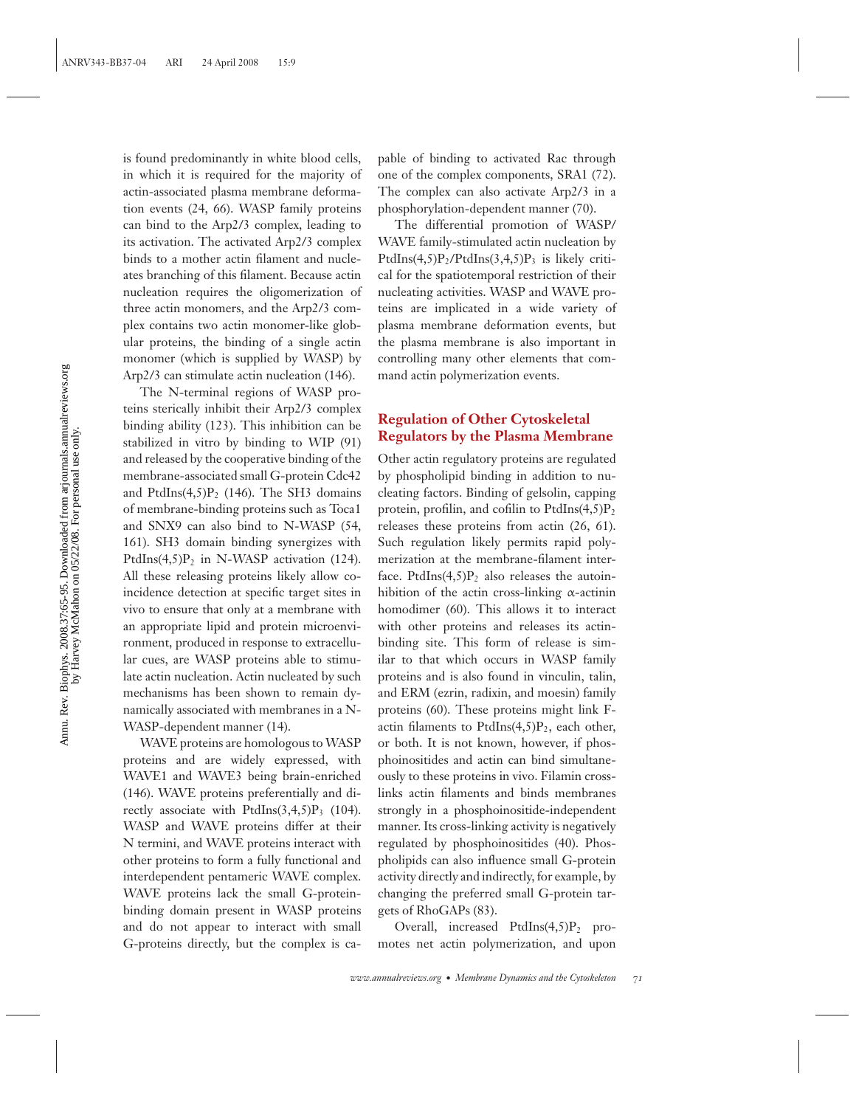is found predominantly in white blood cells, in which it is required for the majority of actin-associated plasma membrane deformation events (24, 66). WASP family proteins can bind to the Arp2/3 complex, leading to its activation. The activated Arp2/3 complex binds to a mother actin filament and nucleates branching of this filament. Because actin nucleation requires the oligomerization of three actin monomers, and the Arp2/3 complex contains two actin monomer-like globular proteins, the binding of a single actin monomer (which is supplied by WASP) by Arp2/3 can stimulate actin nucleation (146).

The N-terminal regions of WASP proteins sterically inhibit their Arp2/3 complex binding ability (123). This inhibition can be stabilized in vitro by binding to WIP (91) and released by the cooperative binding of the membrane-associated small G-protein Cdc42 and PtdIns $(4,5)P_2$  (146). The SH3 domains of membrane-binding proteins such as Toca1 and SNX9 can also bind to N-WASP (54, 161). SH3 domain binding synergizes with PtdIns $(4,5)P_2$  in N-WASP activation (124). All these releasing proteins likely allow coincidence detection at specific target sites in vivo to ensure that only at a membrane with an appropriate lipid and protein microenvironment, produced in response to extracellular cues, are WASP proteins able to stimulate actin nucleation. Actin nucleated by such mechanisms has been shown to remain dynamically associated with membranes in a N-WASP-dependent manner (14).

WAVE proteins are homologous to WASP proteins and are widely expressed, with WAVE1 and WAVE3 being brain-enriched (146). WAVE proteins preferentially and directly associate with  $PtdIns(3,4,5)P_3$  (104). WASP and WAVE proteins differ at their N termini, and WAVE proteins interact with other proteins to form a fully functional and interdependent pentameric WAVE complex. WAVE proteins lack the small G-proteinbinding domain present in WASP proteins and do not appear to interact with small G-proteins directly, but the complex is capable of binding to activated Rac through one of the complex components, SRA1 (72). The complex can also activate Arp2/3 in a phosphorylation-dependent manner (70).

The differential promotion of WASP/ WAVE family-stimulated actin nucleation by PtdIns(4,5)P<sub>2</sub>/PtdIns(3,4,5)P<sub>3</sub> is likely critical for the spatiotemporal restriction of their nucleating activities. WASP and WAVE proteins are implicated in a wide variety of plasma membrane deformation events, but the plasma membrane is also important in controlling many other elements that command actin polymerization events.

#### **Regulation of Other Cytoskeletal Regulators by the Plasma Membrane**

Other actin regulatory proteins are regulated by phospholipid binding in addition to nucleating factors. Binding of gelsolin, capping protein, profilin, and cofilin to  $Ptdlns(4,5)P<sub>2</sub>$ releases these proteins from actin (26, 61). Such regulation likely permits rapid polymerization at the membrane-filament interface. PtdIns $(4,5)P_2$  also releases the autoinhibition of the actin cross-linking α-actinin homodimer (60). This allows it to interact with other proteins and releases its actinbinding site. This form of release is similar to that which occurs in WASP family proteins and is also found in vinculin, talin, and ERM (ezrin, radixin, and moesin) family proteins (60). These proteins might link Factin filaments to  $Ptdlns(4,5)P_2$ , each other, or both. It is not known, however, if phosphoinositides and actin can bind simultaneously to these proteins in vivo. Filamin crosslinks actin filaments and binds membranes strongly in a phosphoinositide-independent manner. Its cross-linking activity is negatively regulated by phosphoinositides (40). Phospholipids can also influence small G-protein activity directly and indirectly, for example, by changing the preferred small G-protein targets of RhoGAPs (83).

Overall, increased  $PtdIns(4,5)P_2$  promotes net actin polymerization, and upon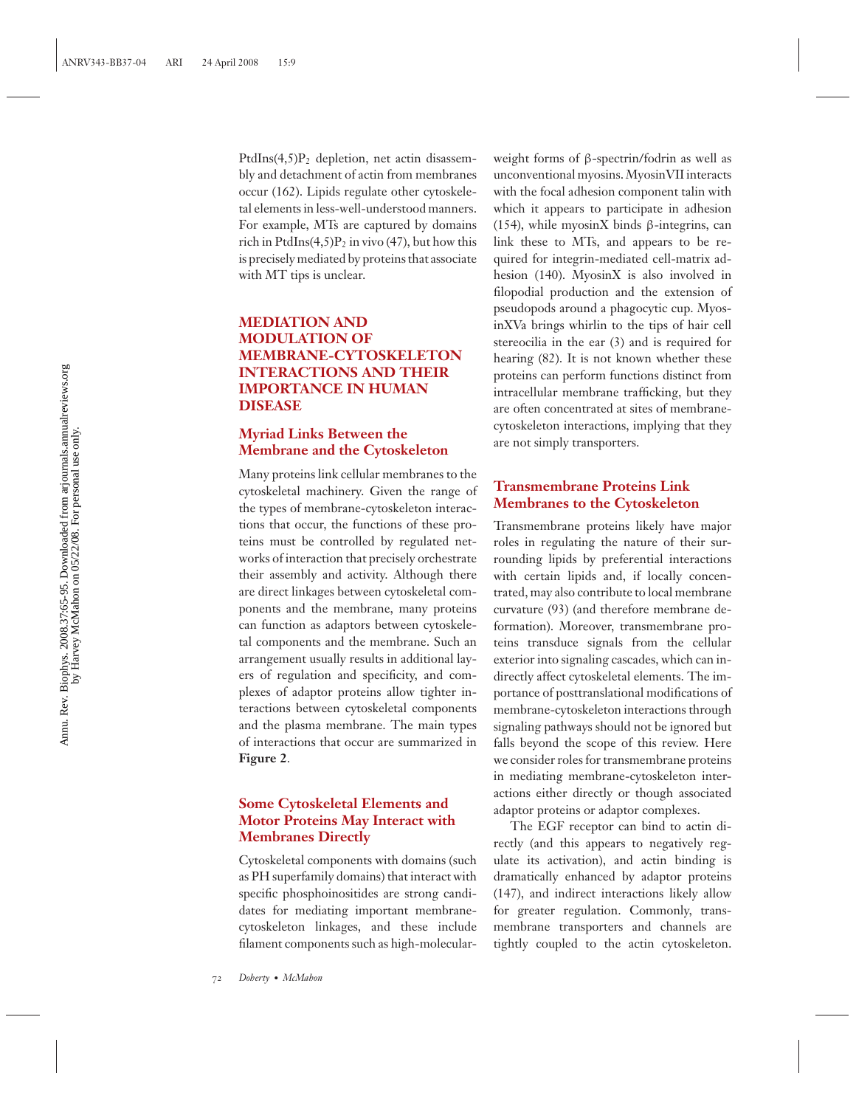PtdIns $(4,5)$ P<sub>2</sub> depletion, net actin disassembly and detachment of actin from membranes occur (162). Lipids regulate other cytoskeletal elements in less-well-understood manners. For example, MTs are captured by domains rich in PtdIns $(4,5)P_2$  in vivo (47), but how this is precisely mediated by proteins that associate with MT tips is unclear.

### **MEDIATION AND MODULATION OF MEMBRANE-CYTOSKELETON INTERACTIONS AND THEIR IMPORTANCE IN HUMAN DISEASE**

#### **Myriad Links Between the Membrane and the Cytoskeleton**

Many proteins link cellular membranes to the cytoskeletal machinery. Given the range of the types of membrane-cytoskeleton interactions that occur, the functions of these proteins must be controlled by regulated networks of interaction that precisely orchestrate their assembly and activity. Although there are direct linkages between cytoskeletal components and the membrane, many proteins can function as adaptors between cytoskeletal components and the membrane. Such an arrangement usually results in additional layers of regulation and specificity, and complexes of adaptor proteins allow tighter interactions between cytoskeletal components and the plasma membrane. The main types of interactions that occur are summarized in **Figure 2**.

#### **Some Cytoskeletal Elements and Motor Proteins May Interact with Membranes Directly**

Cytoskeletal components with domains (such as PH superfamily domains) that interact with specific phosphoinositides are strong candidates for mediating important membranecytoskeleton linkages, and these include filament components such as high-molecularweight forms of β-spectrin/fodrin as well as unconventional myosins. MyosinVII interacts with the focal adhesion component talin with which it appears to participate in adhesion (154), while myosinX binds β-integrins, can link these to MTs, and appears to be required for integrin-mediated cell-matrix adhesion (140). MyosinX is also involved in filopodial production and the extension of pseudopods around a phagocytic cup. MyosinXVa brings whirlin to the tips of hair cell stereocilia in the ear (3) and is required for hearing (82). It is not known whether these proteins can perform functions distinct from intracellular membrane trafficking, but they are often concentrated at sites of membranecytoskeleton interactions, implying that they are not simply transporters.

## **Transmembrane Proteins Link Membranes to the Cytoskeleton**

Transmembrane proteins likely have major roles in regulating the nature of their surrounding lipids by preferential interactions with certain lipids and, if locally concentrated, may also contribute to local membrane curvature (93) (and therefore membrane deformation). Moreover, transmembrane proteins transduce signals from the cellular exterior into signaling cascades, which can indirectly affect cytoskeletal elements. The importance of posttranslational modifications of membrane-cytoskeleton interactions through signaling pathways should not be ignored but falls beyond the scope of this review. Here we consider roles for transmembrane proteins in mediating membrane-cytoskeleton interactions either directly or though associated adaptor proteins or adaptor complexes.

The EGF receptor can bind to actin directly (and this appears to negatively regulate its activation), and actin binding is dramatically enhanced by adaptor proteins (147), and indirect interactions likely allow for greater regulation. Commonly, transmembrane transporters and channels are tightly coupled to the actin cytoskeleton.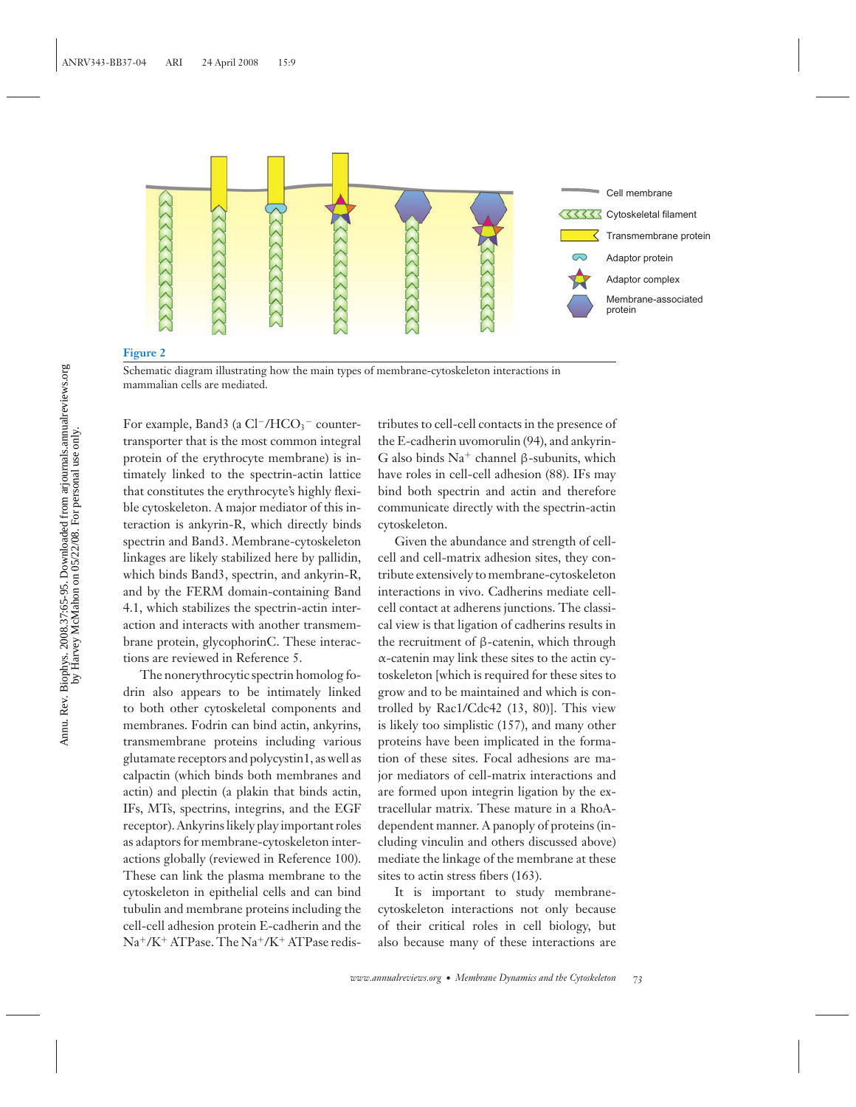

**Figure 2**

Schematic diagram illustrating how the main types of membrane-cytoskeleton interactions in mammalian cells are mediated.

For example, Band3 (a Cl<sup>−</sup>/HCO<sub>3</sub><sup>−</sup> countertransporter that is the most common integral protein of the erythrocyte membrane) is intimately linked to the spectrin-actin lattice that constitutes the erythrocyte's highly flexible cytoskeleton. A major mediator of this interaction is ankyrin-R, which directly binds spectrin and Band3. Membrane-cytoskeleton linkages are likely stabilized here by pallidin, which binds Band3, spectrin, and ankyrin-R, and by the FERM domain-containing Band 4.1, which stabilizes the spectrin-actin interaction and interacts with another transmembrane protein, glycophorinC. These interactions are reviewed in Reference 5.

The nonerythrocytic spectrin homolog fodrin also appears to be intimately linked to both other cytoskeletal components and membranes. Fodrin can bind actin, ankyrins, transmembrane proteins including various glutamate receptors and polycystin1, as well as calpactin (which binds both membranes and actin) and plectin (a plakin that binds actin, IFs, MTs, spectrins, integrins, and the EGF receptor). Ankyrins likely play important roles as adaptors for membrane-cytoskeleton interactions globally (reviewed in Reference 100). These can link the plasma membrane to the cytoskeleton in epithelial cells and can bind tubulin and membrane proteins including the cell-cell adhesion protein E-cadherin and the Na+/K<sup>+</sup> ATPase. The Na+/K<sup>+</sup> ATPase redistributes to cell-cell contacts in the presence of the E-cadherin uvomorulin (94), and ankyrin-G also binds  $Na<sup>+</sup>$  channel β-subunits, which have roles in cell-cell adhesion (88). IFs may bind both spectrin and actin and therefore communicate directly with the spectrin-actin cytoskeleton.

Given the abundance and strength of cellcell and cell-matrix adhesion sites, they contribute extensively to membrane-cytoskeleton interactions in vivo. Cadherins mediate cellcell contact at adherens junctions. The classical view is that ligation of cadherins results in the recruitment of β-catenin, which through α-catenin may link these sites to the actin cytoskeleton [which is required for these sites to grow and to be maintained and which is controlled by Rac1/Cdc42 (13, 80)]. This view is likely too simplistic (157), and many other proteins have been implicated in the formation of these sites. Focal adhesions are major mediators of cell-matrix interactions and are formed upon integrin ligation by the extracellular matrix. These mature in a RhoAdependent manner. A panoply of proteins (including vinculin and others discussed above) mediate the linkage of the membrane at these sites to actin stress fibers (163).

It is important to study membranecytoskeleton interactions not only because of their critical roles in cell biology, but also because many of these interactions are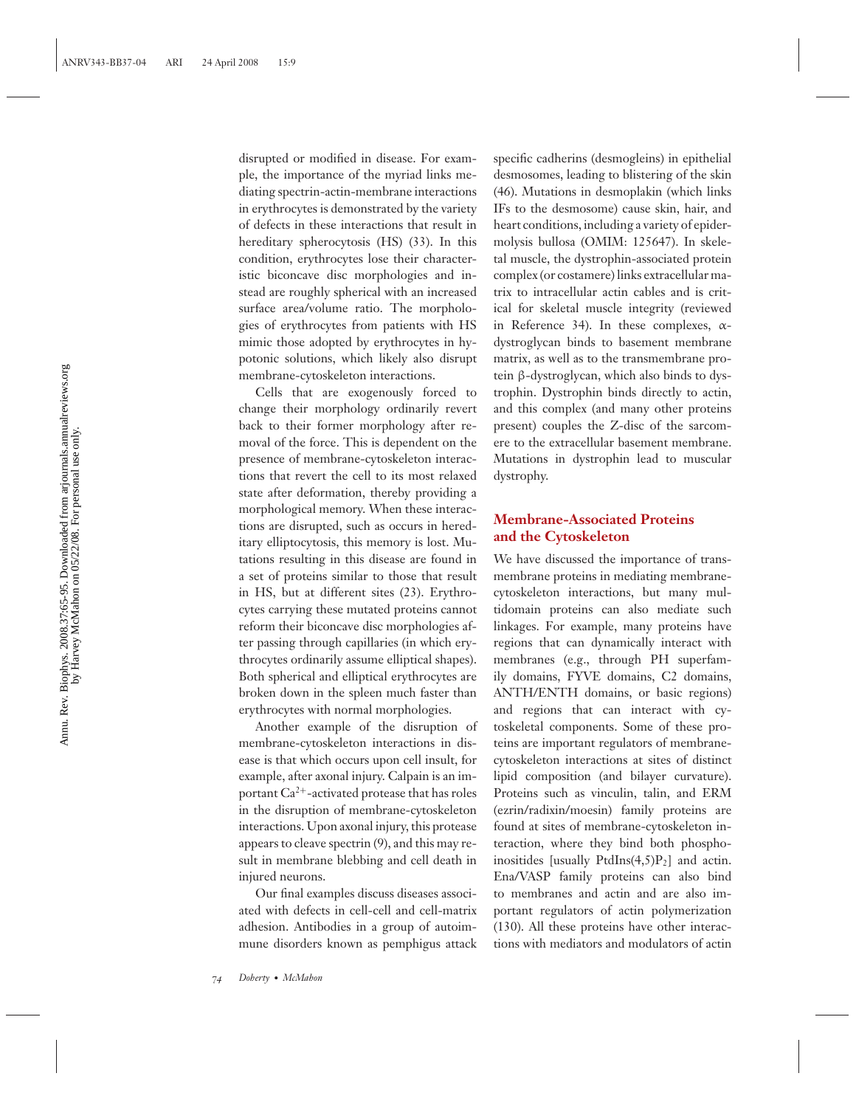disrupted or modified in disease. For example, the importance of the myriad links mediating spectrin-actin-membrane interactions in erythrocytes is demonstrated by the variety of defects in these interactions that result in hereditary spherocytosis (HS) (33). In this condition, erythrocytes lose their characteristic biconcave disc morphologies and instead are roughly spherical with an increased surface area/volume ratio. The morphologies of erythrocytes from patients with HS mimic those adopted by erythrocytes in hypotonic solutions, which likely also disrupt membrane-cytoskeleton interactions.

Cells that are exogenously forced to change their morphology ordinarily revert back to their former morphology after removal of the force. This is dependent on the presence of membrane-cytoskeleton interactions that revert the cell to its most relaxed state after deformation, thereby providing a morphological memory. When these interactions are disrupted, such as occurs in hereditary elliptocytosis, this memory is lost. Mutations resulting in this disease are found in a set of proteins similar to those that result in HS, but at different sites (23). Erythrocytes carrying these mutated proteins cannot reform their biconcave disc morphologies after passing through capillaries (in which erythrocytes ordinarily assume elliptical shapes). Both spherical and elliptical erythrocytes are broken down in the spleen much faster than erythrocytes with normal morphologies.

Another example of the disruption of membrane-cytoskeleton interactions in disease is that which occurs upon cell insult, for example, after axonal injury. Calpain is an important  $Ca^{2+}$ -activated protease that has roles in the disruption of membrane-cytoskeleton interactions. Upon axonal injury, this protease appears to cleave spectrin (9), and this may result in membrane blebbing and cell death in injured neurons.

Our final examples discuss diseases associated with defects in cell-cell and cell-matrix adhesion. Antibodies in a group of autoimmune disorders known as pemphigus attack specific cadherins (desmogleins) in epithelial desmosomes, leading to blistering of the skin (46). Mutations in desmoplakin (which links IFs to the desmosome) cause skin, hair, and heart conditions, including a variety of epidermolysis bullosa (OMIM: 125647). In skeletal muscle, the dystrophin-associated protein complex (or costamere) links extracellular matrix to intracellular actin cables and is critical for skeletal muscle integrity (reviewed in Reference 34). In these complexes,  $\alpha$ dystroglycan binds to basement membrane matrix, as well as to the transmembrane protein β-dystroglycan, which also binds to dystrophin. Dystrophin binds directly to actin, and this complex (and many other proteins present) couples the Z-disc of the sarcomere to the extracellular basement membrane. Mutations in dystrophin lead to muscular dystrophy.

#### **Membrane-Associated Proteins and the Cytoskeleton**

We have discussed the importance of transmembrane proteins in mediating membranecytoskeleton interactions, but many multidomain proteins can also mediate such linkages. For example, many proteins have regions that can dynamically interact with membranes (e.g., through PH superfamily domains, FYVE domains, C2 domains, ANTH/ENTH domains, or basic regions) and regions that can interact with cytoskeletal components. Some of these proteins are important regulators of membranecytoskeleton interactions at sites of distinct lipid composition (and bilayer curvature). Proteins such as vinculin, talin, and ERM (ezrin/radixin/moesin) family proteins are found at sites of membrane-cytoskeleton interaction, where they bind both phosphoinositides [usually  $PtdIns(4,5)P_2$ ] and actin. Ena/VASP family proteins can also bind to membranes and actin and are also important regulators of actin polymerization (130). All these proteins have other interactions with mediators and modulators of actin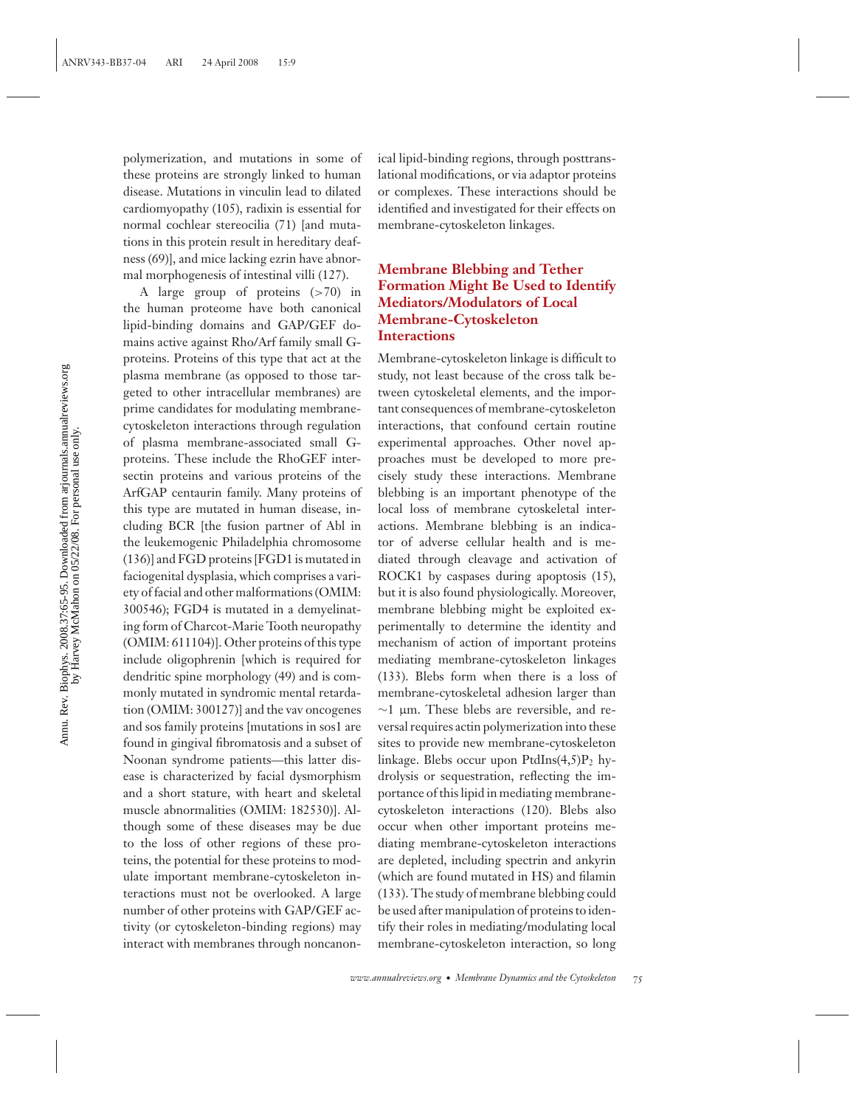polymerization, and mutations in some of these proteins are strongly linked to human disease. Mutations in vinculin lead to dilated cardiomyopathy (105), radixin is essential for normal cochlear stereocilia (71) [and mutations in this protein result in hereditary deafness (69)], and mice lacking ezrin have abnormal morphogenesis of intestinal villi (127).

A large group of proteins  $(>70)$  in the human proteome have both canonical lipid-binding domains and GAP/GEF domains active against Rho/Arf family small Gproteins. Proteins of this type that act at the plasma membrane (as opposed to those targeted to other intracellular membranes) are prime candidates for modulating membranecytoskeleton interactions through regulation of plasma membrane-associated small Gproteins. These include the RhoGEF intersectin proteins and various proteins of the ArfGAP centaurin family. Many proteins of this type are mutated in human disease, including BCR [the fusion partner of Abl in the leukemogenic Philadelphia chromosome (136)] and FGD proteins [FGD1 is mutated in faciogenital dysplasia, which comprises a variety of facial and other malformations (OMIM: 300546); FGD4 is mutated in a demyelinating form of Charcot-Marie Tooth neuropathy (OMIM: 611104)]. Other proteins of this type include oligophrenin [which is required for dendritic spine morphology (49) and is commonly mutated in syndromic mental retardation (OMIM: 300127)] and the vav oncogenes and sos family proteins [mutations in sos1 are found in gingival fibromatosis and a subset of Noonan syndrome patients—this latter disease is characterized by facial dysmorphism and a short stature, with heart and skeletal muscle abnormalities (OMIM: 182530)]. Although some of these diseases may be due to the loss of other regions of these proteins, the potential for these proteins to modulate important membrane-cytoskeleton interactions must not be overlooked. A large number of other proteins with GAP/GEF activity (or cytoskeleton-binding regions) may interact with membranes through noncanonical lipid-binding regions, through posttranslational modifications, or via adaptor proteins or complexes. These interactions should be identified and investigated for their effects on membrane-cytoskeleton linkages.

#### **Membrane Blebbing and Tether Formation Might Be Used to Identify Mediators/Modulators of Local Membrane-Cytoskeleton Interactions**

Membrane-cytoskeleton linkage is difficult to study, not least because of the cross talk between cytoskeletal elements, and the important consequences of membrane-cytoskeleton interactions, that confound certain routine experimental approaches. Other novel approaches must be developed to more precisely study these interactions. Membrane blebbing is an important phenotype of the local loss of membrane cytoskeletal interactions. Membrane blebbing is an indicator of adverse cellular health and is mediated through cleavage and activation of ROCK1 by caspases during apoptosis (15), but it is also found physiologically. Moreover, membrane blebbing might be exploited experimentally to determine the identity and mechanism of action of important proteins mediating membrane-cytoskeleton linkages (133). Blebs form when there is a loss of membrane-cytoskeletal adhesion larger than ∼1 μm. These blebs are reversible, and reversal requires actin polymerization into these sites to provide new membrane-cytoskeleton linkage. Blebs occur upon PtdIns(4,5) $P_2$  hydrolysis or sequestration, reflecting the importance of this lipid in mediating membranecytoskeleton interactions (120). Blebs also occur when other important proteins mediating membrane-cytoskeleton interactions are depleted, including spectrin and ankyrin (which are found mutated in HS) and filamin (133). The study of membrane blebbing could be used after manipulation of proteins to identify their roles in mediating/modulating local membrane-cytoskeleton interaction, so long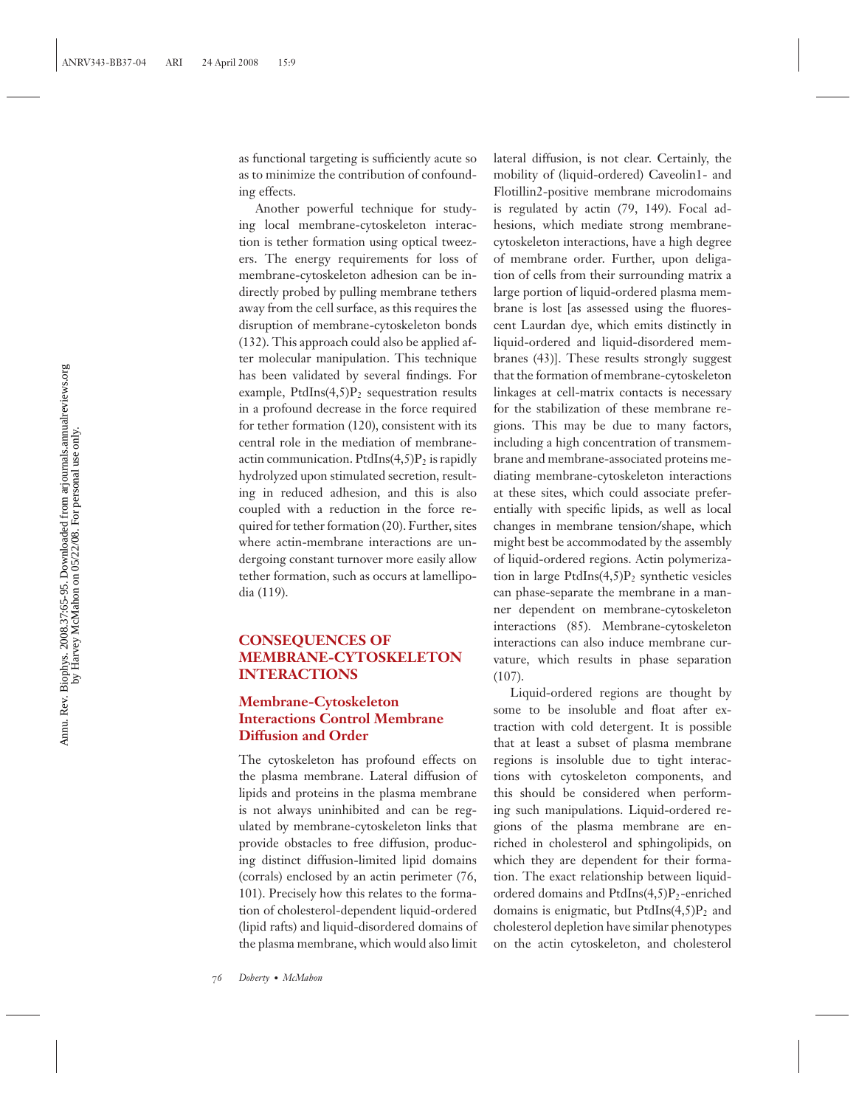as functional targeting is sufficiently acute so as to minimize the contribution of confounding effects.

Another powerful technique for studying local membrane-cytoskeleton interaction is tether formation using optical tweezers. The energy requirements for loss of membrane-cytoskeleton adhesion can be indirectly probed by pulling membrane tethers away from the cell surface, as this requires the disruption of membrane-cytoskeleton bonds (132). This approach could also be applied after molecular manipulation. This technique has been validated by several findings. For example, PtdIns $(4,5)P_2$  sequestration results in a profound decrease in the force required for tether formation (120), consistent with its central role in the mediation of membraneactin communication. PtdIns $(4,5)P_2$  is rapidly hydrolyzed upon stimulated secretion, resulting in reduced adhesion, and this is also coupled with a reduction in the force required for tether formation (20). Further, sites where actin-membrane interactions are undergoing constant turnover more easily allow tether formation, such as occurs at lamellipodia (119).

#### **CONSEQUENCES OF MEMBRANE-CYTOSKELETON INTERACTIONS**

#### **Membrane-Cytoskeleton Interactions Control Membrane Diffusion and Order**

The cytoskeleton has profound effects on the plasma membrane. Lateral diffusion of lipids and proteins in the plasma membrane is not always uninhibited and can be regulated by membrane-cytoskeleton links that provide obstacles to free diffusion, producing distinct diffusion-limited lipid domains (corrals) enclosed by an actin perimeter (76, 101). Precisely how this relates to the formation of cholesterol-dependent liquid-ordered (lipid rafts) and liquid-disordered domains of the plasma membrane, which would also limit

lateral diffusion, is not clear. Certainly, the mobility of (liquid-ordered) Caveolin1- and Flotillin2-positive membrane microdomains is regulated by actin (79, 149). Focal adhesions, which mediate strong membranecytoskeleton interactions, have a high degree of membrane order. Further, upon deligation of cells from their surrounding matrix a large portion of liquid-ordered plasma membrane is lost [as assessed using the fluorescent Laurdan dye, which emits distinctly in liquid-ordered and liquid-disordered membranes (43)]. These results strongly suggest that the formation of membrane-cytoskeleton linkages at cell-matrix contacts is necessary for the stabilization of these membrane regions. This may be due to many factors, including a high concentration of transmembrane and membrane-associated proteins mediating membrane-cytoskeleton interactions at these sites, which could associate preferentially with specific lipids, as well as local changes in membrane tension/shape, which might best be accommodated by the assembly of liquid-ordered regions. Actin polymerization in large PtdIns $(4,5)P_2$  synthetic vesicles can phase-separate the membrane in a manner dependent on membrane-cytoskeleton interactions (85). Membrane-cytoskeleton interactions can also induce membrane curvature, which results in phase separation (107).

Liquid-ordered regions are thought by some to be insoluble and float after extraction with cold detergent. It is possible that at least a subset of plasma membrane regions is insoluble due to tight interactions with cytoskeleton components, and this should be considered when performing such manipulations. Liquid-ordered regions of the plasma membrane are enriched in cholesterol and sphingolipids, on which they are dependent for their formation. The exact relationship between liquidordered domains and PtdIns $(4,5)P_2$ -enriched domains is enigmatic, but  $Ptdlns(4,5)P_2$  and cholesterol depletion have similar phenotypes on the actin cytoskeleton, and cholesterol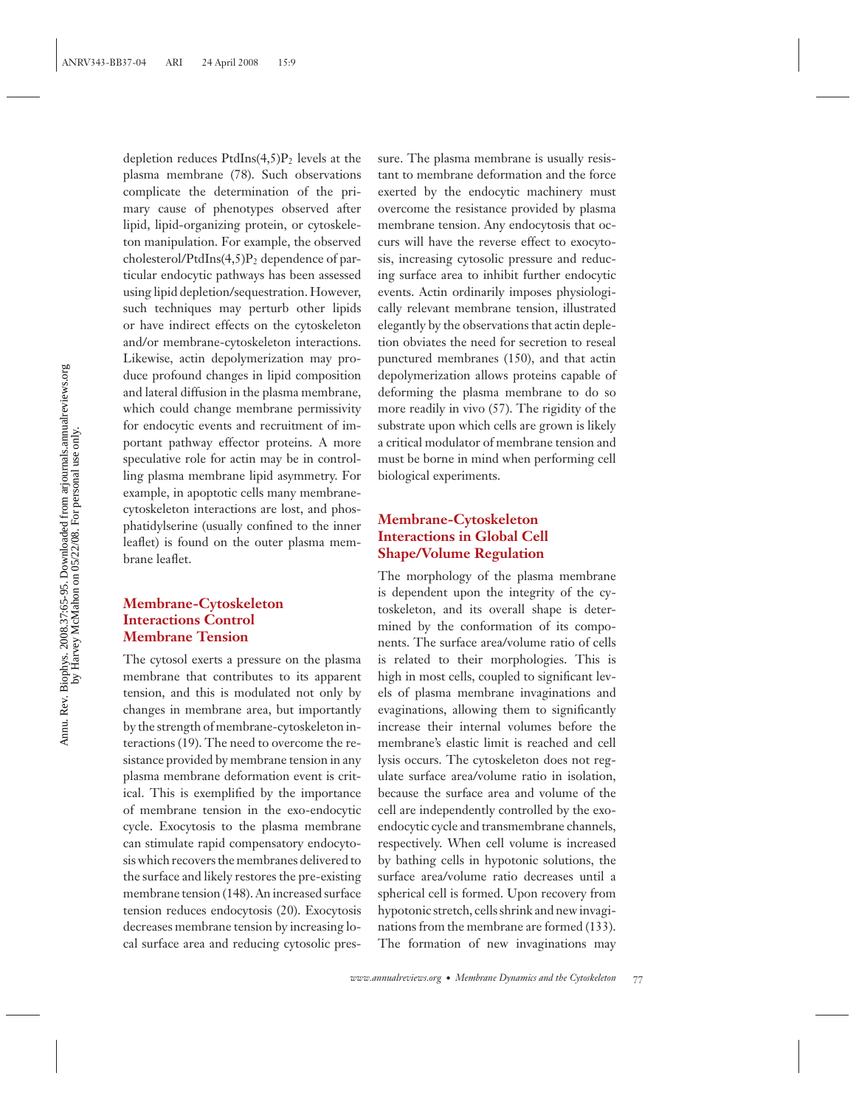depletion reduces  $PtdIns(4,5)P_2$  levels at the plasma membrane (78). Such observations complicate the determination of the primary cause of phenotypes observed after lipid, lipid-organizing protein, or cytoskeleton manipulation. For example, the observed cholesterol/PtdIns $(4,5)P_2$  dependence of particular endocytic pathways has been assessed using lipid depletion/sequestration. However, such techniques may perturb other lipids or have indirect effects on the cytoskeleton and/or membrane-cytoskeleton interactions. Likewise, actin depolymerization may produce profound changes in lipid composition and lateral diffusion in the plasma membrane, which could change membrane permissivity for endocytic events and recruitment of important pathway effector proteins. A more speculative role for actin may be in controlling plasma membrane lipid asymmetry. For example, in apoptotic cells many membranecytoskeleton interactions are lost, and phosphatidylserine (usually confined to the inner leaflet) is found on the outer plasma membrane leaflet.

#### **Membrane-Cytoskeleton Interactions Control Membrane Tension**

The cytosol exerts a pressure on the plasma membrane that contributes to its apparent tension, and this is modulated not only by changes in membrane area, but importantly by the strength of membrane-cytoskeleton interactions (19). The need to overcome the resistance provided by membrane tension in any plasma membrane deformation event is critical. This is exemplified by the importance of membrane tension in the exo-endocytic cycle. Exocytosis to the plasma membrane can stimulate rapid compensatory endocytosis which recovers the membranes delivered to the surface and likely restores the pre-existing membrane tension (148). An increased surface tension reduces endocytosis (20). Exocytosis decreases membrane tension by increasing local surface area and reducing cytosolic pressure. The plasma membrane is usually resistant to membrane deformation and the force exerted by the endocytic machinery must overcome the resistance provided by plasma membrane tension. Any endocytosis that occurs will have the reverse effect to exocytosis, increasing cytosolic pressure and reducing surface area to inhibit further endocytic events. Actin ordinarily imposes physiologically relevant membrane tension, illustrated elegantly by the observations that actin depletion obviates the need for secretion to reseal punctured membranes (150), and that actin depolymerization allows proteins capable of deforming the plasma membrane to do so more readily in vivo (57). The rigidity of the substrate upon which cells are grown is likely a critical modulator of membrane tension and must be borne in mind when performing cell biological experiments.

#### **Membrane-Cytoskeleton Interactions in Global Cell Shape/Volume Regulation**

The morphology of the plasma membrane is dependent upon the integrity of the cytoskeleton, and its overall shape is determined by the conformation of its components. The surface area/volume ratio of cells is related to their morphologies. This is high in most cells, coupled to significant levels of plasma membrane invaginations and evaginations, allowing them to significantly increase their internal volumes before the membrane's elastic limit is reached and cell lysis occurs. The cytoskeleton does not regulate surface area/volume ratio in isolation, because the surface area and volume of the cell are independently controlled by the exoendocytic cycle and transmembrane channels, respectively. When cell volume is increased by bathing cells in hypotonic solutions, the surface area/volume ratio decreases until a spherical cell is formed. Upon recovery from hypotonic stretch, cells shrink and new invaginations from the membrane are formed (133). The formation of new invaginations may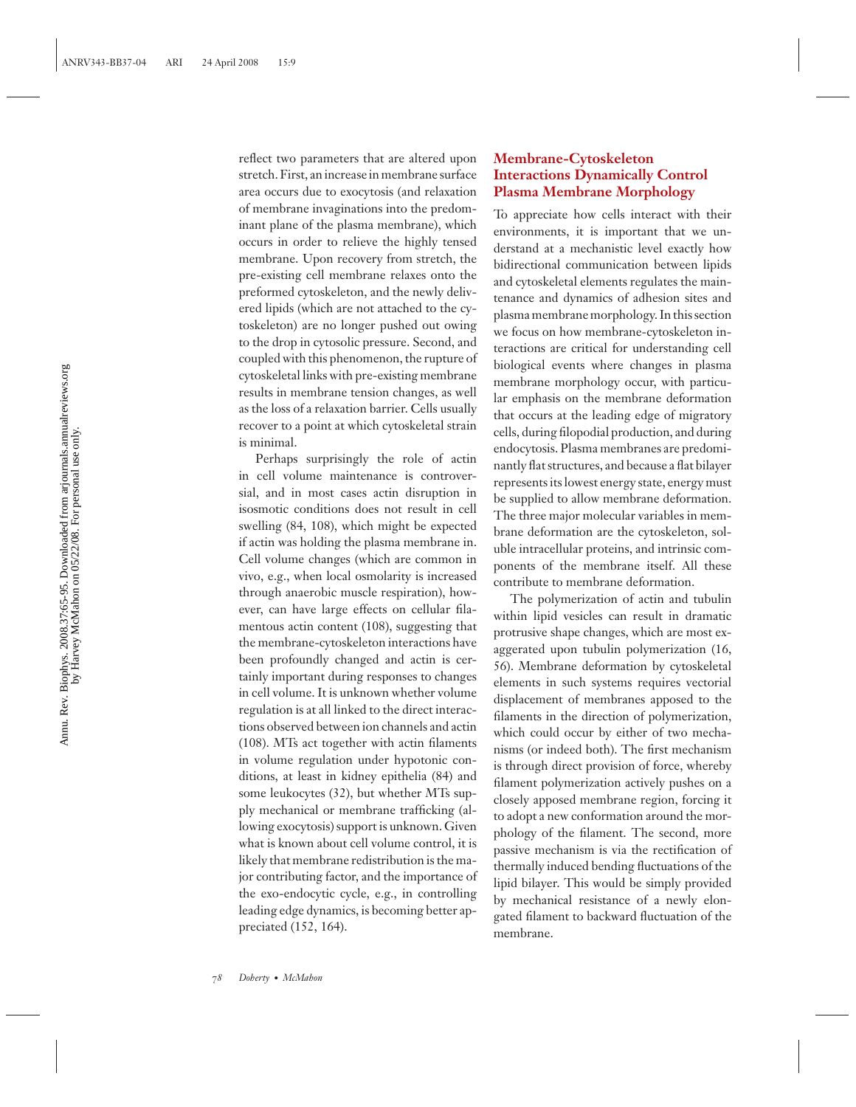reflect two parameters that are altered upon stretch. First, an increase in membrane surface area occurs due to exocytosis (and relaxation of membrane invaginations into the predominant plane of the plasma membrane), which occurs in order to relieve the highly tensed membrane. Upon recovery from stretch, the pre-existing cell membrane relaxes onto the preformed cytoskeleton, and the newly delivered lipids (which are not attached to the cytoskeleton) are no longer pushed out owing to the drop in cytosolic pressure. Second, and coupled with this phenomenon, the rupture of cytoskeletal links with pre-existing membrane results in membrane tension changes, as well as the loss of a relaxation barrier. Cells usually recover to a point at which cytoskeletal strain is minimal.

Perhaps surprisingly the role of actin in cell volume maintenance is controversial, and in most cases actin disruption in isosmotic conditions does not result in cell swelling (84, 108), which might be expected if actin was holding the plasma membrane in. Cell volume changes (which are common in vivo, e.g., when local osmolarity is increased through anaerobic muscle respiration), however, can have large effects on cellular filamentous actin content (108), suggesting that the membrane-cytoskeleton interactions have been profoundly changed and actin is certainly important during responses to changes in cell volume. It is unknown whether volume regulation is at all linked to the direct interactions observed between ion channels and actin (108). MTs act together with actin filaments in volume regulation under hypotonic conditions, at least in kidney epithelia (84) and some leukocytes (32), but whether MTs supply mechanical or membrane trafficking (allowing exocytosis) support is unknown. Given what is known about cell volume control, it is likely that membrane redistribution is the major contributing factor, and the importance of the exo-endocytic cycle, e.g., in controlling leading edge dynamics, is becoming better appreciated (152, 164).

#### **Membrane-Cytoskeleton Interactions Dynamically Control Plasma Membrane Morphology**

To appreciate how cells interact with their environments, it is important that we understand at a mechanistic level exactly how bidirectional communication between lipids and cytoskeletal elements regulates the maintenance and dynamics of adhesion sites and plasma membrane morphology. In this section we focus on how membrane-cytoskeleton interactions are critical for understanding cell biological events where changes in plasma membrane morphology occur, with particular emphasis on the membrane deformation that occurs at the leading edge of migratory cells, during filopodial production, and during endocytosis. Plasma membranes are predominantly flat structures, and because a flat bilayer represents its lowest energy state, energy must be supplied to allow membrane deformation. The three major molecular variables in membrane deformation are the cytoskeleton, soluble intracellular proteins, and intrinsic components of the membrane itself. All these contribute to membrane deformation.

The polymerization of actin and tubulin within lipid vesicles can result in dramatic protrusive shape changes, which are most exaggerated upon tubulin polymerization (16, 56). Membrane deformation by cytoskeletal elements in such systems requires vectorial displacement of membranes apposed to the filaments in the direction of polymerization, which could occur by either of two mechanisms (or indeed both). The first mechanism is through direct provision of force, whereby filament polymerization actively pushes on a closely apposed membrane region, forcing it to adopt a new conformation around the morphology of the filament. The second, more passive mechanism is via the rectification of thermally induced bending fluctuations of the lipid bilayer. This would be simply provided by mechanical resistance of a newly elongated filament to backward fluctuation of the membrane.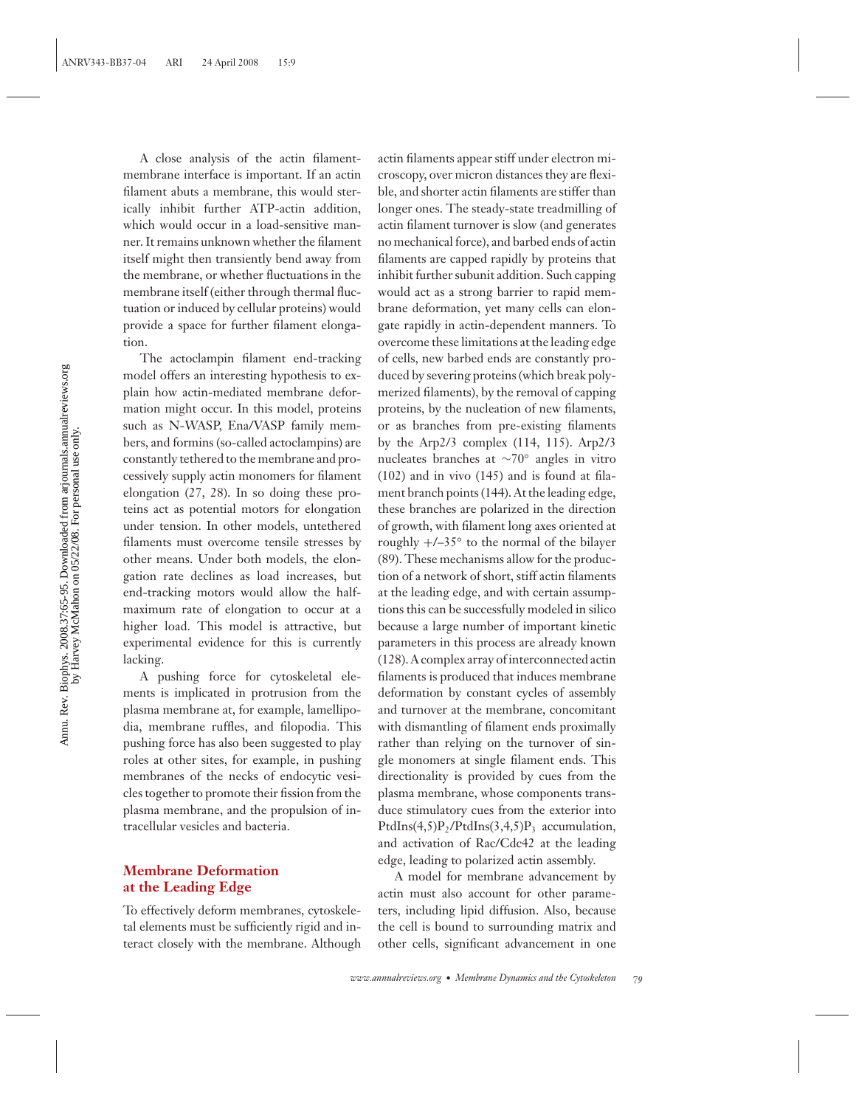A close analysis of the actin filamentmembrane interface is important. If an actin filament abuts a membrane, this would sterically inhibit further ATP-actin addition, which would occur in a load-sensitive manner. It remains unknown whether the filament itself might then transiently bend away from the membrane, or whether fluctuations in the membrane itself (either through thermal fluctuation or induced by cellular proteins) would provide a space for further filament elongation.

The actoclampin filament end-tracking model offers an interesting hypothesis to explain how actin-mediated membrane deformation might occur. In this model, proteins such as N-WASP, Ena/VASP family members, and formins (so-called actoclampins) are constantly tethered to the membrane and processively supply actin monomers for filament elongation (27, 28). In so doing these proteins act as potential motors for elongation under tension. In other models, untethered filaments must overcome tensile stresses by other means. Under both models, the elongation rate declines as load increases, but end-tracking motors would allow the halfmaximum rate of elongation to occur at a higher load. This model is attractive, but experimental evidence for this is currently lacking.

A pushing force for cytoskeletal elements is implicated in protrusion from the plasma membrane at, for example, lamellipodia, membrane ruffles, and filopodia. This pushing force has also been suggested to play roles at other sites, for example, in pushing membranes of the necks of endocytic vesicles together to promote their fission from the plasma membrane, and the propulsion of intracellular vesicles and bacteria.

#### **Membrane Deformation at the Leading Edge**

To effectively deform membranes, cytoskeletal elements must be sufficiently rigid and interact closely with the membrane. Although

actin filaments appear stiff under electron microscopy, over micron distances they are flexible, and shorter actin filaments are stiffer than longer ones. The steady-state treadmilling of actin filament turnover is slow (and generates no mechanical force), and barbed ends of actin filaments are capped rapidly by proteins that inhibit further subunit addition. Such capping would act as a strong barrier to rapid membrane deformation, yet many cells can elongate rapidly in actin-dependent manners. To overcome these limitations at the leading edge of cells, new barbed ends are constantly produced by severing proteins (which break polymerized filaments), by the removal of capping proteins, by the nucleation of new filaments, or as branches from pre-existing filaments by the Arp2/3 complex (114, 115). Arp2/3 nucleates branches at ∼70*◦* angles in vitro (102) and in vivo (145) and is found at filament branch points (144). At the leading edge, these branches are polarized in the direction of growth, with filament long axes oriented at roughly +/–35*◦* to the normal of the bilayer (89). These mechanisms allow for the production of a network of short, stiff actin filaments at the leading edge, and with certain assumptions this can be successfully modeled in silico because a large number of important kinetic parameters in this process are already known (128). A complex array of interconnected actin filaments is produced that induces membrane deformation by constant cycles of assembly and turnover at the membrane, concomitant with dismantling of filament ends proximally rather than relying on the turnover of single monomers at single filament ends. This directionality is provided by cues from the plasma membrane, whose components transduce stimulatory cues from the exterior into PtdIns(4,5)P<sub>2</sub>/PtdIns(3,4,5)P<sub>3</sub> accumulation, and activation of Rac/Cdc42 at the leading edge, leading to polarized actin assembly.

A model for membrane advancement by actin must also account for other parameters, including lipid diffusion. Also, because the cell is bound to surrounding matrix and other cells, significant advancement in one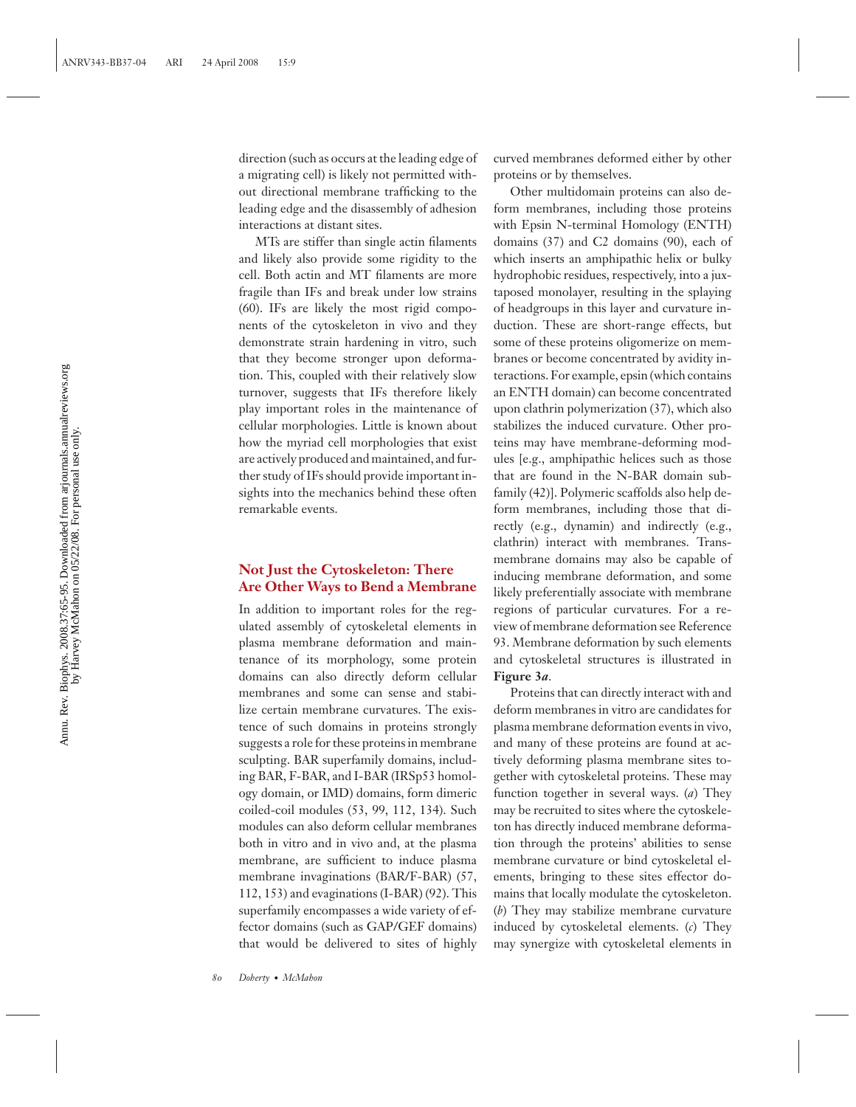direction (such as occurs at the leading edge of a migrating cell) is likely not permitted without directional membrane trafficking to the leading edge and the disassembly of adhesion interactions at distant sites.

MTs are stiffer than single actin filaments and likely also provide some rigidity to the cell. Both actin and MT filaments are more fragile than IFs and break under low strains (60). IFs are likely the most rigid components of the cytoskeleton in vivo and they demonstrate strain hardening in vitro, such that they become stronger upon deformation. This, coupled with their relatively slow turnover, suggests that IFs therefore likely play important roles in the maintenance of cellular morphologies. Little is known about how the myriad cell morphologies that exist are actively produced and maintained, and further study of IFs should provide important insights into the mechanics behind these often remarkable events.

#### **Not Just the Cytoskeleton: There Are Other Ways to Bend a Membrane**

In addition to important roles for the regulated assembly of cytoskeletal elements in plasma membrane deformation and maintenance of its morphology, some protein domains can also directly deform cellular membranes and some can sense and stabilize certain membrane curvatures. The existence of such domains in proteins strongly suggests a role for these proteins in membrane sculpting. BAR superfamily domains, including BAR, F-BAR, and I-BAR (IRSp53 homology domain, or IMD) domains, form dimeric coiled-coil modules (53, 99, 112, 134). Such modules can also deform cellular membranes both in vitro and in vivo and, at the plasma membrane, are sufficient to induce plasma membrane invaginations (BAR/F-BAR) (57, 112, 153) and evaginations (I-BAR) (92). This superfamily encompasses a wide variety of effector domains (such as GAP/GEF domains) that would be delivered to sites of highly

curved membranes deformed either by other proteins or by themselves.

Other multidomain proteins can also deform membranes, including those proteins with Epsin N-terminal Homology (ENTH) domains (37) and C2 domains (90), each of which inserts an amphipathic helix or bulky hydrophobic residues, respectively, into a juxtaposed monolayer, resulting in the splaying of headgroups in this layer and curvature induction. These are short-range effects, but some of these proteins oligomerize on membranes or become concentrated by avidity interactions. For example, epsin (which contains an ENTH domain) can become concentrated upon clathrin polymerization (37), which also stabilizes the induced curvature. Other proteins may have membrane-deforming modules [e.g., amphipathic helices such as those that are found in the N-BAR domain subfamily (42)]. Polymeric scaffolds also help deform membranes, including those that directly (e.g., dynamin) and indirectly (e.g., clathrin) interact with membranes. Transmembrane domains may also be capable of inducing membrane deformation, and some likely preferentially associate with membrane regions of particular curvatures. For a review of membrane deformation see Reference 93. Membrane deformation by such elements and cytoskeletal structures is illustrated in **Figure 3***a*.

Proteins that can directly interact with and deform membranes in vitro are candidates for plasma membrane deformation events in vivo, and many of these proteins are found at actively deforming plasma membrane sites together with cytoskeletal proteins. These may function together in several ways. (*a*) They may be recruited to sites where the cytoskeleton has directly induced membrane deformation through the proteins' abilities to sense membrane curvature or bind cytoskeletal elements, bringing to these sites effector domains that locally modulate the cytoskeleton. (*b*) They may stabilize membrane curvature induced by cytoskeletal elements. (*c*) They may synergize with cytoskeletal elements in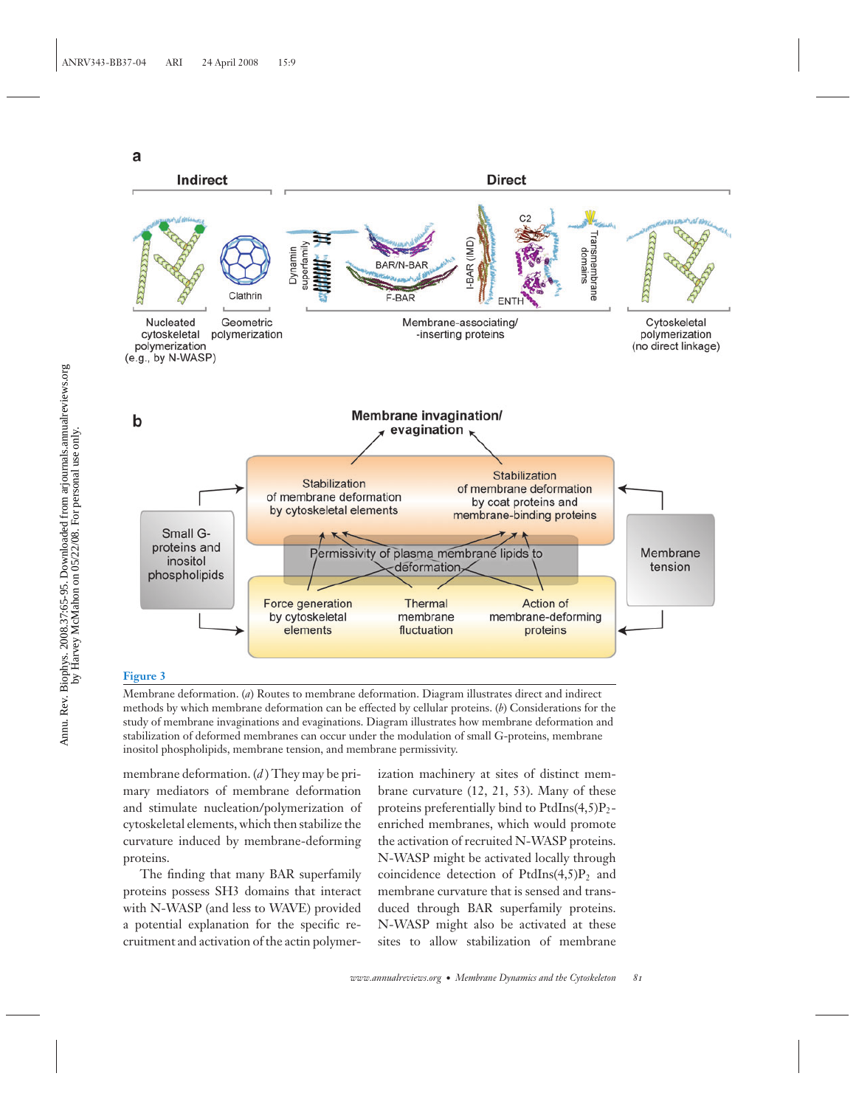

#### **Figure 3**

Membrane deformation. (*a*) Routes to membrane deformation. Diagram illustrates direct and indirect methods by which membrane deformation can be effected by cellular proteins. (*b*) Considerations for the study of membrane invaginations and evaginations. Diagram illustrates how membrane deformation and stabilization of deformed membranes can occur under the modulation of small G-proteins, membrane inositol phospholipids, membrane tension, and membrane permissivity.

membrane deformation. (*d* ) They may be primary mediators of membrane deformation and stimulate nucleation/polymerization of cytoskeletal elements, which then stabilize the curvature induced by membrane-deforming proteins.

The finding that many BAR superfamily proteins possess SH3 domains that interact with N-WASP (and less to WAVE) provided a potential explanation for the specific recruitment and activation of the actin polymerization machinery at sites of distinct membrane curvature (12, 21, 53). Many of these proteins preferentially bind to  $Ptdlns(4,5)P_2$ enriched membranes, which would promote the activation of recruited N-WASP proteins. N-WASP might be activated locally through coincidence detection of PtdIns $(4,5)$ P<sub>2</sub> and membrane curvature that is sensed and transduced through BAR superfamily proteins. N-WASP might also be activated at these sites to allow stabilization of membrane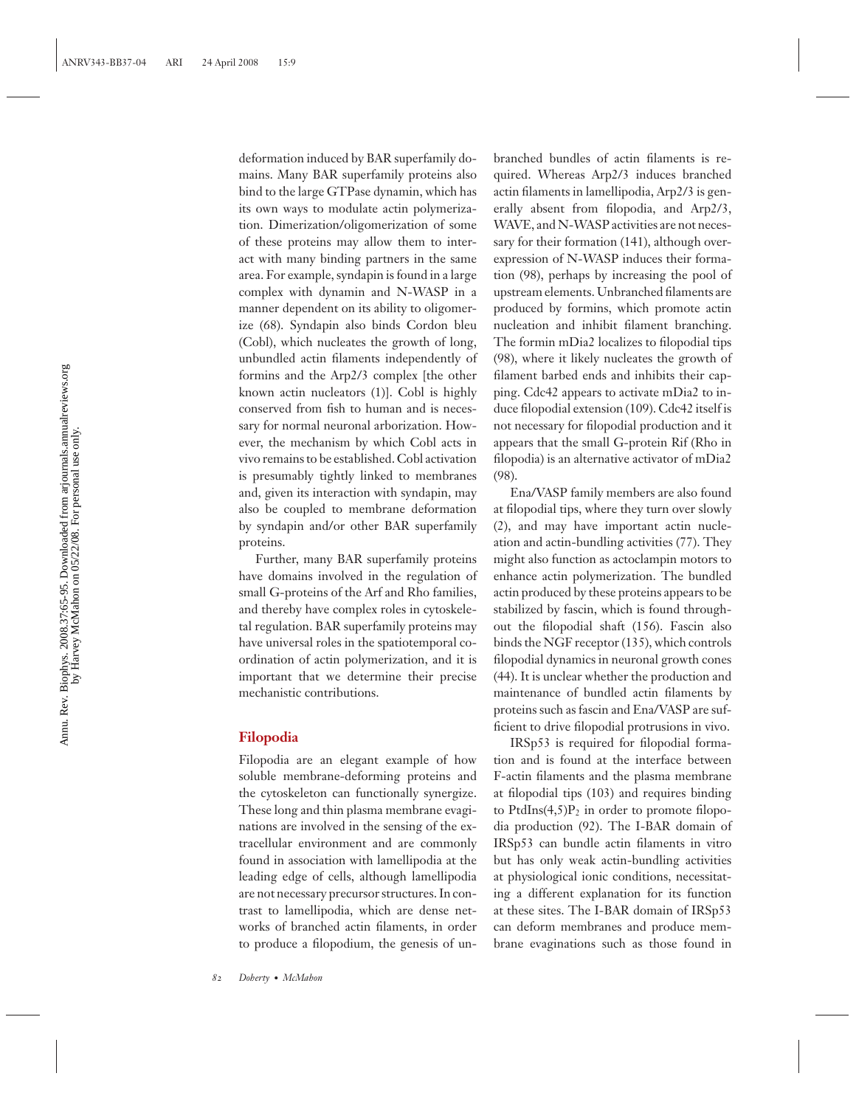deformation induced by BAR superfamily domains. Many BAR superfamily proteins also bind to the large GTPase dynamin, which has its own ways to modulate actin polymerization. Dimerization/oligomerization of some of these proteins may allow them to interact with many binding partners in the same area. For example, syndapin is found in a large complex with dynamin and N-WASP in a manner dependent on its ability to oligomerize (68). Syndapin also binds Cordon bleu (Cobl), which nucleates the growth of long, unbundled actin filaments independently of formins and the Arp2/3 complex [the other known actin nucleators (1)]. Cobl is highly conserved from fish to human and is necessary for normal neuronal arborization. However, the mechanism by which Cobl acts in vivo remains to be established. Cobl activation is presumably tightly linked to membranes and, given its interaction with syndapin, may also be coupled to membrane deformation by syndapin and/or other BAR superfamily proteins.

Further, many BAR superfamily proteins have domains involved in the regulation of small G-proteins of the Arf and Rho families, and thereby have complex roles in cytoskeletal regulation. BAR superfamily proteins may have universal roles in the spatiotemporal coordination of actin polymerization, and it is important that we determine their precise mechanistic contributions.

#### **Filopodia**

Filopodia are an elegant example of how soluble membrane-deforming proteins and the cytoskeleton can functionally synergize. These long and thin plasma membrane evaginations are involved in the sensing of the extracellular environment and are commonly found in association with lamellipodia at the leading edge of cells, although lamellipodia are not necessary precursor structures. In contrast to lamellipodia, which are dense networks of branched actin filaments, in order to produce a filopodium, the genesis of unbranched bundles of actin filaments is required. Whereas Arp2/3 induces branched actin filaments in lamellipodia, Arp2/3 is generally absent from filopodia, and Arp2/3, WAVE, and N-WASP activities are not necessary for their formation (141), although overexpression of N-WASP induces their formation (98), perhaps by increasing the pool of upstream elements. Unbranched filaments are produced by formins, which promote actin nucleation and inhibit filament branching. The formin mDia2 localizes to filopodial tips (98), where it likely nucleates the growth of filament barbed ends and inhibits their capping. Cdc42 appears to activate mDia2 to induce filopodial extension (109). Cdc42 itself is not necessary for filopodial production and it appears that the small G-protein Rif (Rho in filopodia) is an alternative activator of mDia2 (98).

Ena/VASP family members are also found at filopodial tips, where they turn over slowly (2), and may have important actin nucleation and actin-bundling activities (77). They might also function as actoclampin motors to enhance actin polymerization. The bundled actin produced by these proteins appears to be stabilized by fascin, which is found throughout the filopodial shaft (156). Fascin also binds the NGF receptor (135), which controls filopodial dynamics in neuronal growth cones (44). It is unclear whether the production and maintenance of bundled actin filaments by proteins such as fascin and Ena/VASP are sufficient to drive filopodial protrusions in vivo.

IRSp53 is required for filopodial formation and is found at the interface between F-actin filaments and the plasma membrane at filopodial tips (103) and requires binding to PtdIns $(4,5)P_2$  in order to promote filopodia production (92). The I-BAR domain of IRSp53 can bundle actin filaments in vitro but has only weak actin-bundling activities at physiological ionic conditions, necessitating a different explanation for its function at these sites. The I-BAR domain of IRSp53 can deform membranes and produce membrane evaginations such as those found in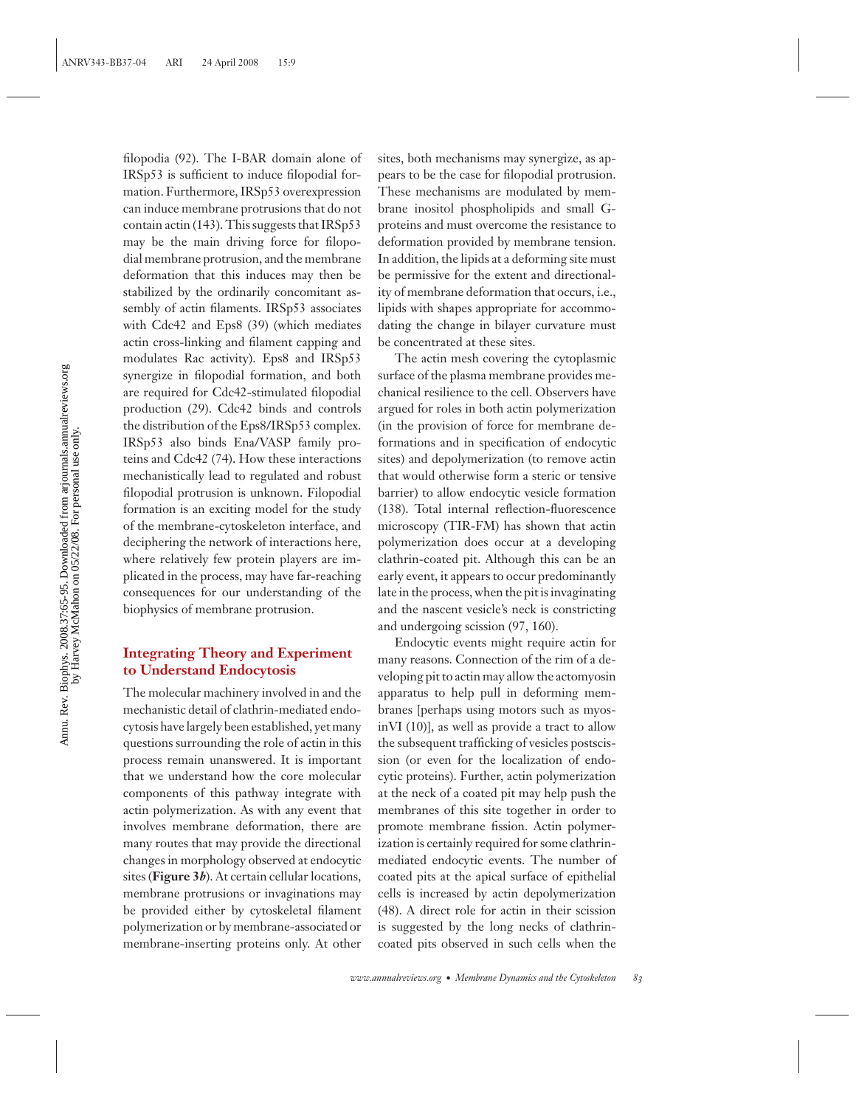filopodia (92). The I-BAR domain alone of IRSp53 is sufficient to induce filopodial formation. Furthermore, IRSp53 overexpression can induce membrane protrusions that do not contain actin (143). This suggests that IRSp53 may be the main driving force for filopodial membrane protrusion, and the membrane deformation that this induces may then be stabilized by the ordinarily concomitant assembly of actin filaments. IRSp53 associates with Cdc42 and Eps8 (39) (which mediates actin cross-linking and filament capping and modulates Rac activity). Eps8 and IRSp53 synergize in filopodial formation, and both are required for Cdc42-stimulated filopodial production (29). Cdc42 binds and controls the distribution of the Eps8/IRSp53 complex. IRSp53 also binds Ena/VASP family proteins and Cdc42 (74). How these interactions mechanistically lead to regulated and robust filopodial protrusion is unknown. Filopodial formation is an exciting model for the study of the membrane-cytoskeleton interface, and deciphering the network of interactions here, where relatively few protein players are implicated in the process, may have far-reaching consequences for our understanding of the biophysics of membrane protrusion.

#### **Integrating Theory and Experiment to Understand Endocytosis**

The molecular machinery involved in and the mechanistic detail of clathrin-mediated endocytosis have largely been established, yet many questions surrounding the role of actin in this process remain unanswered. It is important that we understand how the core molecular components of this pathway integrate with actin polymerization. As with any event that involves membrane deformation, there are many routes that may provide the directional changes in morphology observed at endocytic sites (**Figure 3***b*). At certain cellular locations, membrane protrusions or invaginations may be provided either by cytoskeletal filament polymerization or by membrane-associated or membrane-inserting proteins only. At other

sites, both mechanisms may synergize, as appears to be the case for filopodial protrusion. These mechanisms are modulated by membrane inositol phospholipids and small Gproteins and must overcome the resistance to deformation provided by membrane tension. In addition, the lipids at a deforming site must be permissive for the extent and directionality of membrane deformation that occurs, i.e., lipids with shapes appropriate for accommodating the change in bilayer curvature must be concentrated at these sites.

The actin mesh covering the cytoplasmic surface of the plasma membrane provides mechanical resilience to the cell. Observers have argued for roles in both actin polymerization (in the provision of force for membrane deformations and in specification of endocytic sites) and depolymerization (to remove actin that would otherwise form a steric or tensive barrier) to allow endocytic vesicle formation (138). Total internal reflection-fluorescence microscopy (TIR-FM) has shown that actin polymerization does occur at a developing clathrin-coated pit. Although this can be an early event, it appears to occur predominantly late in the process, when the pit is invaginating and the nascent vesicle's neck is constricting and undergoing scission (97, 160).

Endocytic events might require actin for many reasons. Connection of the rim of a developing pit to actin may allow the actomyosin apparatus to help pull in deforming membranes [perhaps using motors such as myosinVI (10)], as well as provide a tract to allow the subsequent trafficking of vesicles postscission (or even for the localization of endocytic proteins). Further, actin polymerization at the neck of a coated pit may help push the membranes of this site together in order to promote membrane fission. Actin polymerization is certainly required for some clathrinmediated endocytic events. The number of coated pits at the apical surface of epithelial cells is increased by actin depolymerization (48). A direct role for actin in their scission is suggested by the long necks of clathrincoated pits observed in such cells when the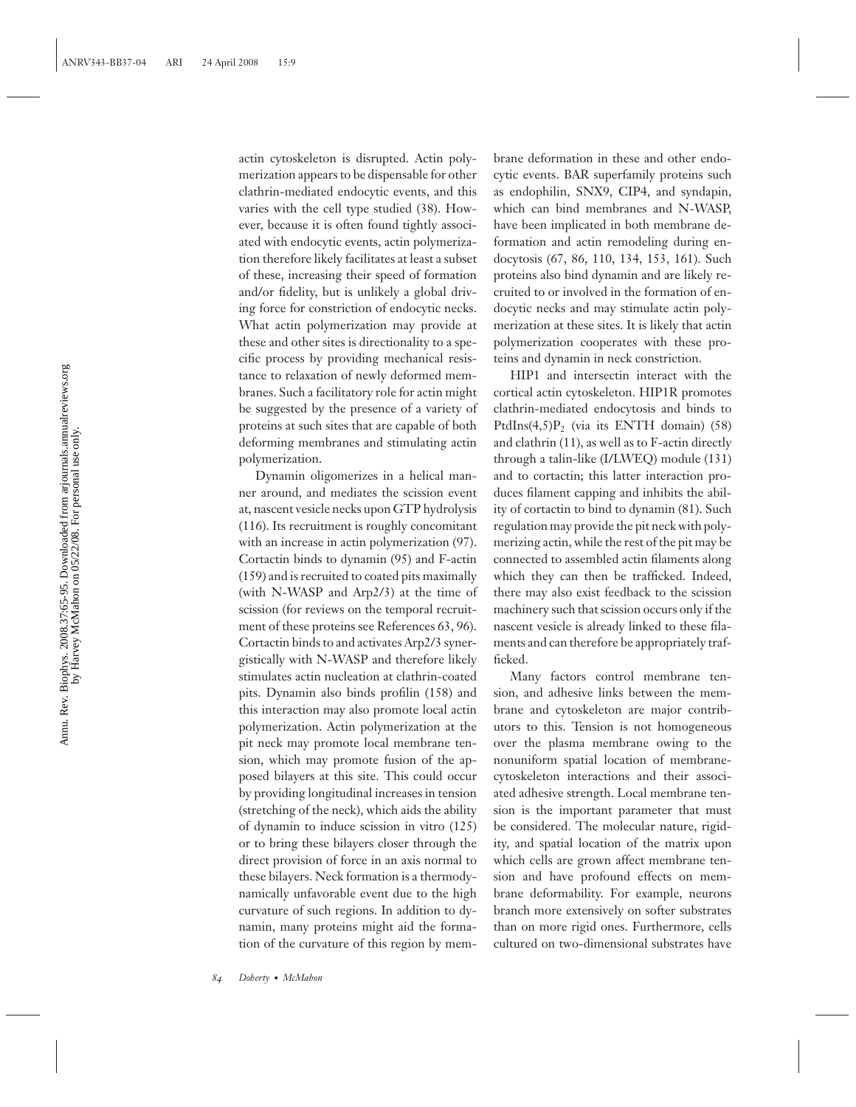actin cytoskeleton is disrupted. Actin polymerization appears to be dispensable for other clathrin-mediated endocytic events, and this varies with the cell type studied (38). However, because it is often found tightly associated with endocytic events, actin polymerization therefore likely facilitates at least a subset of these, increasing their speed of formation and/or fidelity, but is unlikely a global driving force for constriction of endocytic necks. What actin polymerization may provide at these and other sites is directionality to a specific process by providing mechanical resistance to relaxation of newly deformed membranes. Such a facilitatory role for actin might be suggested by the presence of a variety of proteins at such sites that are capable of both deforming membranes and stimulating actin polymerization.

Dynamin oligomerizes in a helical manner around, and mediates the scission event at, nascent vesicle necks upon GTP hydrolysis (116). Its recruitment is roughly concomitant with an increase in actin polymerization (97). Cortactin binds to dynamin (95) and F-actin (159) and is recruited to coated pits maximally (with N-WASP and Arp2/3) at the time of scission (for reviews on the temporal recruitment of these proteins see References 63, 96). Cortactin binds to and activates Arp2/3 synergistically with N-WASP and therefore likely stimulates actin nucleation at clathrin-coated pits. Dynamin also binds profilin (158) and this interaction may also promote local actin polymerization. Actin polymerization at the pit neck may promote local membrane tension, which may promote fusion of the apposed bilayers at this site. This could occur by providing longitudinal increases in tension (stretching of the neck), which aids the ability of dynamin to induce scission in vitro (125) or to bring these bilayers closer through the direct provision of force in an axis normal to these bilayers. Neck formation is a thermodynamically unfavorable event due to the high curvature of such regions. In addition to dynamin, many proteins might aid the formation of the curvature of this region by membrane deformation in these and other endocytic events. BAR superfamily proteins such as endophilin, SNX9, CIP4, and syndapin, which can bind membranes and N-WASP, have been implicated in both membrane deformation and actin remodeling during endocytosis (67, 86, 110, 134, 153, 161). Such proteins also bind dynamin and are likely recruited to or involved in the formation of endocytic necks and may stimulate actin polymerization at these sites. It is likely that actin polymerization cooperates with these proteins and dynamin in neck constriction.

HIP1 and intersectin interact with the cortical actin cytoskeleton. HIP1R promotes clathrin-mediated endocytosis and binds to PtdIns $(4,5)$ P<sub>2</sub> (via its ENTH domain) (58) and clathrin (11), as well as to F-actin directly through a talin-like (I/LWEQ) module (131) and to cortactin; this latter interaction produces filament capping and inhibits the ability of cortactin to bind to dynamin (81). Such regulation may provide the pit neck with polymerizing actin, while the rest of the pit may be connected to assembled actin filaments along which they can then be trafficked. Indeed, there may also exist feedback to the scission machinery such that scission occurs only if the nascent vesicle is already linked to these filaments and can therefore be appropriately trafficked.

Many factors control membrane tension, and adhesive links between the membrane and cytoskeleton are major contributors to this. Tension is not homogeneous over the plasma membrane owing to the nonuniform spatial location of membranecytoskeleton interactions and their associated adhesive strength. Local membrane tension is the important parameter that must be considered. The molecular nature, rigidity, and spatial location of the matrix upon which cells are grown affect membrane tension and have profound effects on membrane deformability. For example, neurons branch more extensively on softer substrates than on more rigid ones. Furthermore, cells cultured on two-dimensional substrates have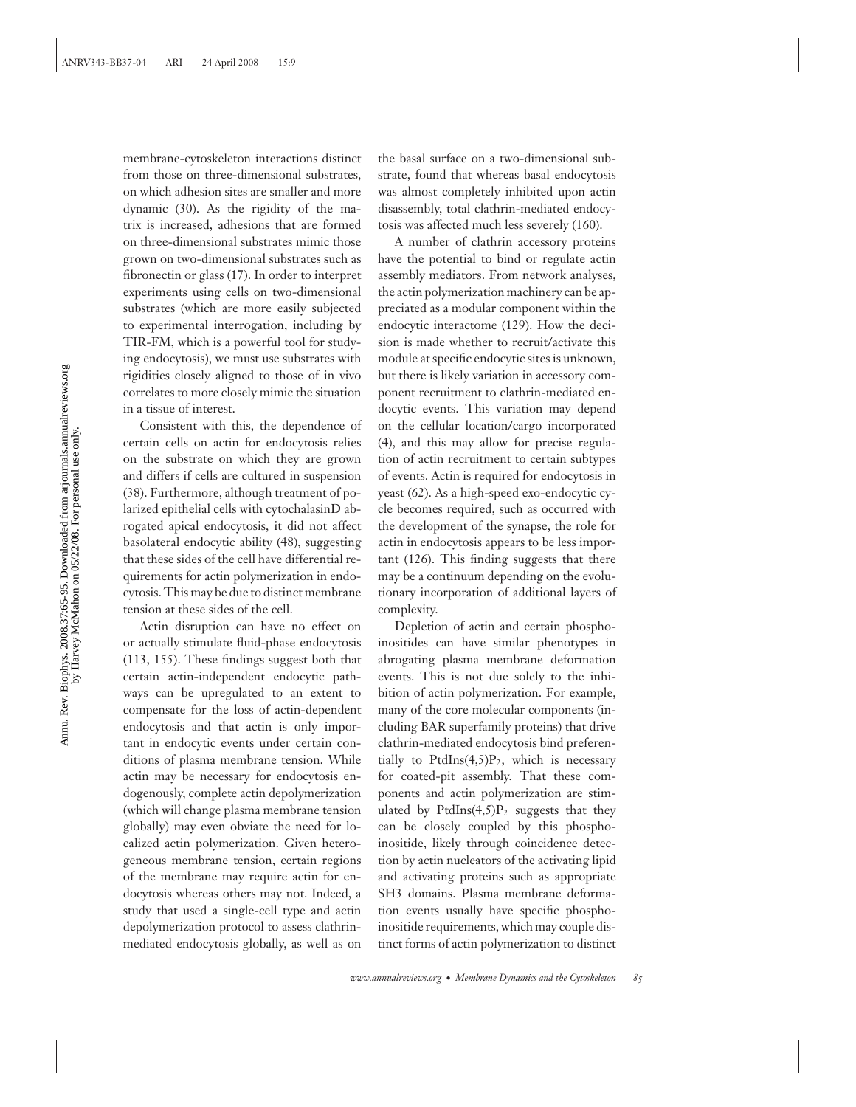membrane-cytoskeleton interactions distinct from those on three-dimensional substrates, on which adhesion sites are smaller and more dynamic (30). As the rigidity of the matrix is increased, adhesions that are formed on three-dimensional substrates mimic those grown on two-dimensional substrates such as fibronectin or glass (17). In order to interpret experiments using cells on two-dimensional substrates (which are more easily subjected to experimental interrogation, including by TIR-FM, which is a powerful tool for studying endocytosis), we must use substrates with rigidities closely aligned to those of in vivo correlates to more closely mimic the situation in a tissue of interest.

Consistent with this, the dependence of certain cells on actin for endocytosis relies on the substrate on which they are grown and differs if cells are cultured in suspension (38). Furthermore, although treatment of polarized epithelial cells with cytochalasinD abrogated apical endocytosis, it did not affect basolateral endocytic ability (48), suggesting that these sides of the cell have differential requirements for actin polymerization in endocytosis. This may be due to distinct membrane tension at these sides of the cell.

Actin disruption can have no effect on or actually stimulate fluid-phase endocytosis (113, 155). These findings suggest both that certain actin-independent endocytic pathways can be upregulated to an extent to compensate for the loss of actin-dependent endocytosis and that actin is only important in endocytic events under certain conditions of plasma membrane tension. While actin may be necessary for endocytosis endogenously, complete actin depolymerization (which will change plasma membrane tension globally) may even obviate the need for localized actin polymerization. Given heterogeneous membrane tension, certain regions of the membrane may require actin for endocytosis whereas others may not. Indeed, a study that used a single-cell type and actin depolymerization protocol to assess clathrinmediated endocytosis globally, as well as on

the basal surface on a two-dimensional substrate, found that whereas basal endocytosis was almost completely inhibited upon actin disassembly, total clathrin-mediated endocytosis was affected much less severely (160).

A number of clathrin accessory proteins have the potential to bind or regulate actin assembly mediators. From network analyses, the actin polymerization machinery can be appreciated as a modular component within the endocytic interactome (129). How the decision is made whether to recruit/activate this module at specific endocytic sites is unknown, but there is likely variation in accessory component recruitment to clathrin-mediated endocytic events. This variation may depend on the cellular location/cargo incorporated (4), and this may allow for precise regulation of actin recruitment to certain subtypes of events. Actin is required for endocytosis in yeast (62). As a high-speed exo-endocytic cycle becomes required, such as occurred with the development of the synapse, the role for actin in endocytosis appears to be less important (126). This finding suggests that there may be a continuum depending on the evolutionary incorporation of additional layers of complexity.

Depletion of actin and certain phosphoinositides can have similar phenotypes in abrogating plasma membrane deformation events. This is not due solely to the inhibition of actin polymerization. For example, many of the core molecular components (including BAR superfamily proteins) that drive clathrin-mediated endocytosis bind preferentially to PtdIns $(4,5)P_2$ , which is necessary for coated-pit assembly. That these components and actin polymerization are stimulated by  $PtdIns(4,5)P_2$  suggests that they can be closely coupled by this phosphoinositide, likely through coincidence detection by actin nucleators of the activating lipid and activating proteins such as appropriate SH3 domains. Plasma membrane deformation events usually have specific phosphoinositide requirements, which may couple distinct forms of actin polymerization to distinct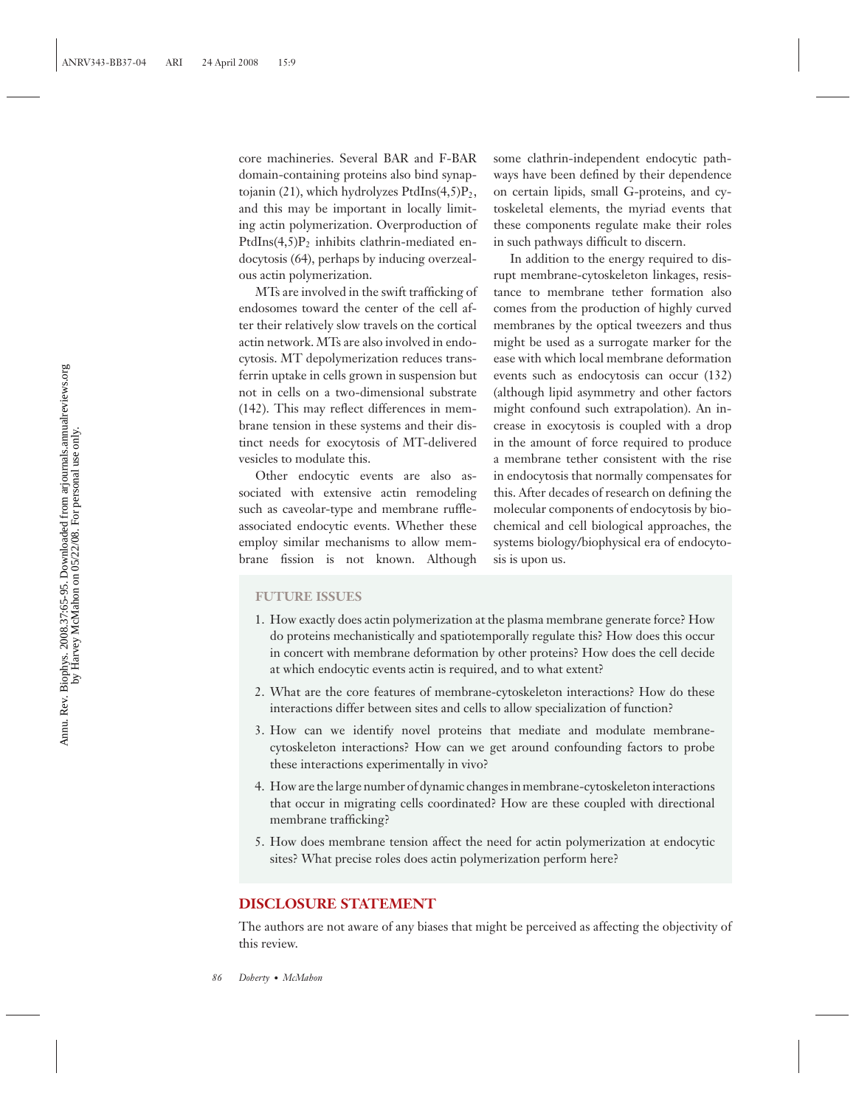core machineries. Several BAR and F-BAR domain-containing proteins also bind synaptojanin (21), which hydrolyzes PtdIns(4,5) $P_2$ , and this may be important in locally limiting actin polymerization. Overproduction of PtdIns $(4,5)P_2$  inhibits clathrin-mediated endocytosis (64), perhaps by inducing overzealous actin polymerization.

MTs are involved in the swift trafficking of endosomes toward the center of the cell after their relatively slow travels on the cortical actin network. MTs are also involved in endocytosis. MT depolymerization reduces transferrin uptake in cells grown in suspension but not in cells on a two-dimensional substrate (142). This may reflect differences in membrane tension in these systems and their distinct needs for exocytosis of MT-delivered vesicles to modulate this.

Other endocytic events are also associated with extensive actin remodeling such as caveolar-type and membrane ruffleassociated endocytic events. Whether these employ similar mechanisms to allow membrane fission is not known. Although some clathrin-independent endocytic pathways have been defined by their dependence on certain lipids, small G-proteins, and cytoskeletal elements, the myriad events that these components regulate make their roles in such pathways difficult to discern.

In addition to the energy required to disrupt membrane-cytoskeleton linkages, resistance to membrane tether formation also comes from the production of highly curved membranes by the optical tweezers and thus might be used as a surrogate marker for the ease with which local membrane deformation events such as endocytosis can occur (132) (although lipid asymmetry and other factors might confound such extrapolation). An increase in exocytosis is coupled with a drop in the amount of force required to produce a membrane tether consistent with the rise in endocytosis that normally compensates for this. After decades of research on defining the molecular components of endocytosis by biochemical and cell biological approaches, the systems biology/biophysical era of endocytosis is upon us.

#### **FUTURE ISSUES**

- 1. How exactly does actin polymerization at the plasma membrane generate force? How do proteins mechanistically and spatiotemporally regulate this? How does this occur in concert with membrane deformation by other proteins? How does the cell decide at which endocytic events actin is required, and to what extent?
- 2. What are the core features of membrane-cytoskeleton interactions? How do these interactions differ between sites and cells to allow specialization of function?
- 3. How can we identify novel proteins that mediate and modulate membranecytoskeleton interactions? How can we get around confounding factors to probe these interactions experimentally in vivo?
- 4. How are the large number of dynamic changes in membrane-cytoskeleton interactions that occur in migrating cells coordinated? How are these coupled with directional membrane trafficking?
- 5. How does membrane tension affect the need for actin polymerization at endocytic sites? What precise roles does actin polymerization perform here?

#### **DISCLOSURE STATEMENT**

The authors are not aware of any biases that might be perceived as affecting the objectivity of this review.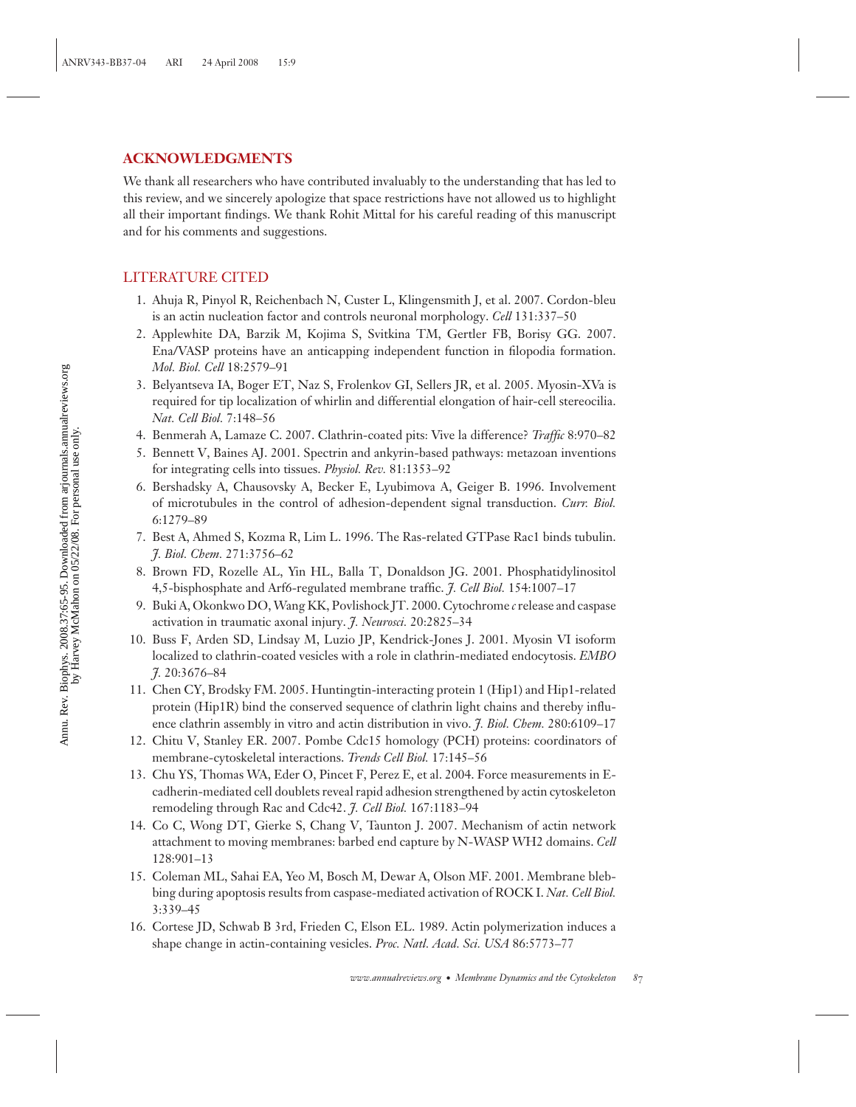## **ACKNOWLEDGMENTS**

We thank all researchers who have contributed invaluably to the understanding that has led to this review, and we sincerely apologize that space restrictions have not allowed us to highlight all their important findings. We thank Rohit Mittal for his careful reading of this manuscript and for his comments and suggestions.

## LITERATURE CITED

- 1. Ahuja R, Pinyol R, Reichenbach N, Custer L, Klingensmith J, et al. 2007. Cordon-bleu is an actin nucleation factor and controls neuronal morphology. *Cell* 131:337–50
- 2. Applewhite DA, Barzik M, Kojima S, Svitkina TM, Gertler FB, Borisy GG. 2007. Ena/VASP proteins have an anticapping independent function in filopodia formation. *Mol. Biol. Cell* 18:2579–91
- 3. Belyantseva IA, Boger ET, Naz S, Frolenkov GI, Sellers JR, et al. 2005. Myosin-XVa is required for tip localization of whirlin and differential elongation of hair-cell stereocilia. *Nat. Cell Biol.* 7:148–56
- 4. Benmerah A, Lamaze C. 2007. Clathrin-coated pits: Vive la difference? *Traffic* 8:970–82
- 5. Bennett V, Baines AJ. 2001. Spectrin and ankyrin-based pathways: metazoan inventions for integrating cells into tissues. *Physiol. Rev.* 81:1353–92
- 6. Bershadsky A, Chausovsky A, Becker E, Lyubimova A, Geiger B. 1996. Involvement of microtubules in the control of adhesion-dependent signal transduction. *Curr. Biol.* 6:1279–89
- 7. Best A, Ahmed S, Kozma R, Lim L. 1996. The Ras-related GTPase Rac1 binds tubulin. *J. Biol. Chem.* 271:3756–62
- 8. Brown FD, Rozelle AL, Yin HL, Balla T, Donaldson JG. 2001. Phosphatidylinositol 4,5-bisphosphate and Arf6-regulated membrane traffic. *J. Cell Biol.* 154:1007–17
- 9. Buki A, Okonkwo DO, Wang KK, Povlishock JT. 2000. Cytochrome *c*release and caspase activation in traumatic axonal injury. *J. Neurosci.* 20:2825–34
- 10. Buss F, Arden SD, Lindsay M, Luzio JP, Kendrick-Jones J. 2001. Myosin VI isoform localized to clathrin-coated vesicles with a role in clathrin-mediated endocytosis. *EMBO J.* 20:3676–84
- 11. Chen CY, Brodsky FM. 2005. Huntingtin-interacting protein 1 (Hip1) and Hip1-related protein (Hip1R) bind the conserved sequence of clathrin light chains and thereby influence clathrin assembly in vitro and actin distribution in vivo. *J. Biol. Chem.* 280:6109–17
- 12. Chitu V, Stanley ER. 2007. Pombe Cdc15 homology (PCH) proteins: coordinators of membrane-cytoskeletal interactions. *Trends Cell Biol.* 17:145–56
- 13. Chu YS, Thomas WA, Eder O, Pincet F, Perez E, et al. 2004. Force measurements in Ecadherin-mediated cell doublets reveal rapid adhesion strengthened by actin cytoskeleton remodeling through Rac and Cdc42. *J. Cell Biol.* 167:1183–94
- 14. Co C, Wong DT, Gierke S, Chang V, Taunton J. 2007. Mechanism of actin network attachment to moving membranes: barbed end capture by N-WASP WH2 domains. *Cell* 128:901–13
- 15. Coleman ML, Sahai EA, Yeo M, Bosch M, Dewar A, Olson MF. 2001. Membrane blebbing during apoptosis results from caspase-mediated activation of ROCK I. *Nat. Cell Biol.* 3:339–45
- 16. Cortese JD, Schwab B 3rd, Frieden C, Elson EL. 1989. Actin polymerization induces a shape change in actin-containing vesicles. *Proc. Natl. Acad. Sci. USA* 86:5773–77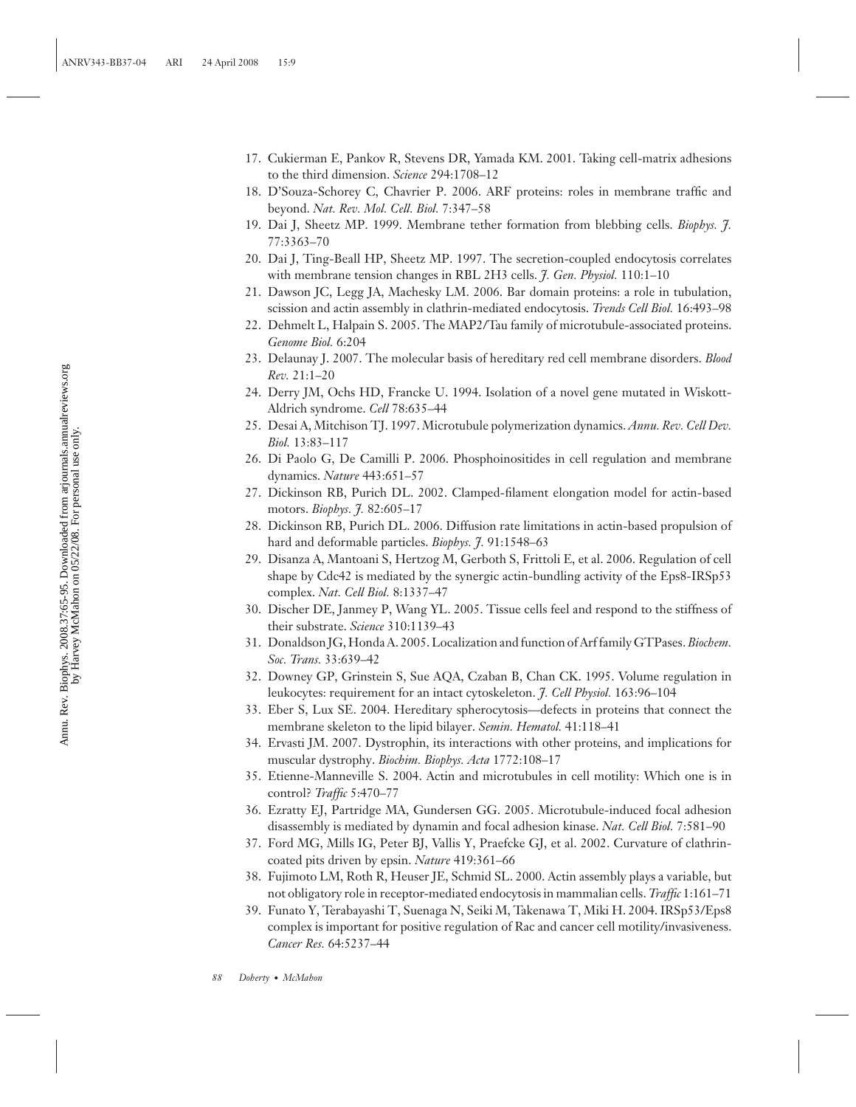- 17. Cukierman E, Pankov R, Stevens DR, Yamada KM. 2001. Taking cell-matrix adhesions to the third dimension. *Science* 294:1708–12
- 18. D'Souza-Schorey C, Chavrier P. 2006. ARF proteins: roles in membrane traffic and beyond. *Nat. Rev. Mol. Cell. Biol.* 7:347–58
- 19. Dai J, Sheetz MP. 1999. Membrane tether formation from blebbing cells. *Biophys. J.* 77:3363–70
- 20. Dai J, Ting-Beall HP, Sheetz MP. 1997. The secretion-coupled endocytosis correlates with membrane tension changes in RBL 2H3 cells. *J. Gen. Physiol.* 110:1–10
- 21. Dawson JC, Legg JA, Machesky LM. 2006. Bar domain proteins: a role in tubulation, scission and actin assembly in clathrin-mediated endocytosis. *Trends Cell Biol.* 16:493–98
- 22. Dehmelt L, Halpain S. 2005. The MAP2/Tau family of microtubule-associated proteins. *Genome Biol.* 6:204
- 23. Delaunay J. 2007. The molecular basis of hereditary red cell membrane disorders. *Blood Rev.* 21:1–20
- 24. Derry JM, Ochs HD, Francke U. 1994. Isolation of a novel gene mutated in Wiskott-Aldrich syndrome. *Cell* 78:635–44
- 25. Desai A, Mitchison TJ. 1997. Microtubule polymerization dynamics. *Annu. Rev. Cell Dev. Biol.* 13:83–117
- 26. Di Paolo G, De Camilli P. 2006. Phosphoinositides in cell regulation and membrane dynamics. *Nature* 443:651–57
- 27. Dickinson RB, Purich DL. 2002. Clamped-filament elongation model for actin-based motors. *Biophys. J.* 82:605–17
- 28. Dickinson RB, Purich DL. 2006. Diffusion rate limitations in actin-based propulsion of hard and deformable particles. *Biophys. J.* 91:1548–63
- 29. Disanza A, Mantoani S, Hertzog M, Gerboth S, Frittoli E, et al. 2006. Regulation of cell shape by Cdc42 is mediated by the synergic actin-bundling activity of the Eps8-IRSp53 complex. *Nat. Cell Biol.* 8:1337–47
- 30. Discher DE, Janmey P, Wang YL. 2005. Tissue cells feel and respond to the stiffness of their substrate. *Science* 310:1139–43
- 31. Donaldson JG, Honda A. 2005. Localization and function of Arf family GTPases. *Biochem. Soc. Trans.* 33:639–42
- 32. Downey GP, Grinstein S, Sue AQA, Czaban B, Chan CK. 1995. Volume regulation in leukocytes: requirement for an intact cytoskeleton. *J. Cell Physiol.* 163:96–104
- 33. Eber S, Lux SE. 2004. Hereditary spherocytosis—defects in proteins that connect the membrane skeleton to the lipid bilayer. *Semin. Hematol.* 41:118–41
- 34. Ervasti JM. 2007. Dystrophin, its interactions with other proteins, and implications for muscular dystrophy. *Biochim. Biophys. Acta* 1772:108–17
- 35. Etienne-Manneville S. 2004. Actin and microtubules in cell motility: Which one is in control? *Traffic* 5:470–77
- 36. Ezratty EJ, Partridge MA, Gundersen GG. 2005. Microtubule-induced focal adhesion disassembly is mediated by dynamin and focal adhesion kinase. *Nat. Cell Biol.* 7:581–90
- 37. Ford MG, Mills IG, Peter BJ, Vallis Y, Praefcke GJ, et al. 2002. Curvature of clathrincoated pits driven by epsin. *Nature* 419:361–66
- 38. Fujimoto LM, Roth R, Heuser JE, Schmid SL. 2000. Actin assembly plays a variable, but not obligatory role in receptor-mediated endocytosis in mammalian cells. *Traffic* 1:161–71
- 39. Funato Y, Terabayashi T, Suenaga N, Seiki M, Takenawa T, Miki H. 2004. IRSp53/Eps8 complex is important for positive regulation of Rac and cancer cell motility/invasiveness. *Cancer Res.* 64:5237–44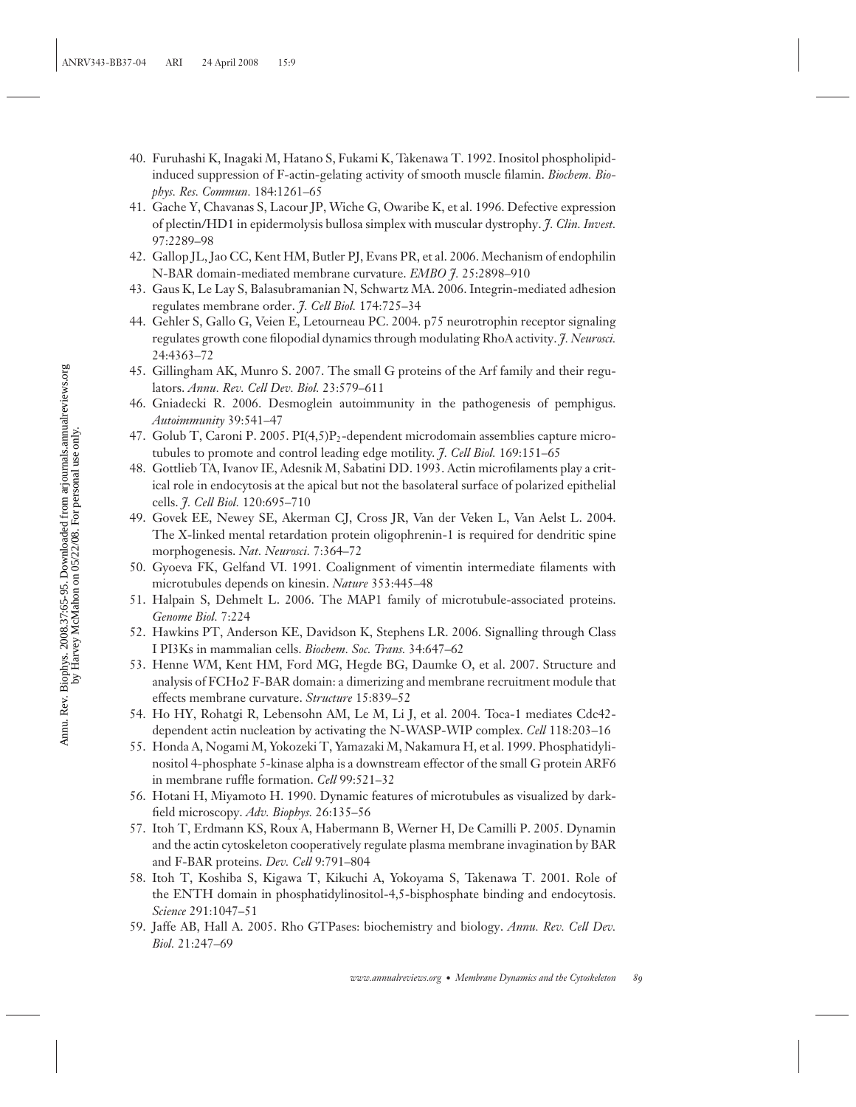- 40. Furuhashi K, Inagaki M, Hatano S, Fukami K, Takenawa T. 1992. Inositol phospholipidinduced suppression of F-actin-gelating activity of smooth muscle filamin. *Biochem. Biophys. Res. Commun.* 184:1261–65
- 41. Gache Y, Chavanas S, Lacour JP, Wiche G, Owaribe K, et al. 1996. Defective expression of plectin/HD1 in epidermolysis bullosa simplex with muscular dystrophy. *J. Clin. Invest.* 97:2289–98
- 42. Gallop JL, Jao CC, Kent HM, Butler PJ, Evans PR, et al. 2006. Mechanism of endophilin N-BAR domain-mediated membrane curvature. *EMBO J.* 25:2898–910
- 43. Gaus K, Le Lay S, Balasubramanian N, Schwartz MA. 2006. Integrin-mediated adhesion regulates membrane order. *J. Cell Biol.* 174:725–34
- 44. Gehler S, Gallo G, Veien E, Letourneau PC. 2004. p75 neurotrophin receptor signaling regulates growth cone filopodial dynamics through modulating RhoA activity. *J. Neurosci.* 24:4363–72
- 45. Gillingham AK, Munro S. 2007. The small G proteins of the Arf family and their regulators. *Annu. Rev. Cell Dev. Biol.* 23:579–611
- 46. Gniadecki R. 2006. Desmoglein autoimmunity in the pathogenesis of pemphigus. *Autoimmunity* 39:541–47
- 47. Golub T, Caroni P. 2005. PI $(4,5)P_2$ -dependent microdomain assemblies capture microtubules to promote and control leading edge motility. *J. Cell Biol.* 169:151–65
- 48. Gottlieb TA, Ivanov IE, Adesnik M, Sabatini DD. 1993. Actin microfilaments play a critical role in endocytosis at the apical but not the basolateral surface of polarized epithelial cells. *J. Cell Biol.* 120:695–710
- 49. Govek EE, Newey SE, Akerman CJ, Cross JR, Van der Veken L, Van Aelst L. 2004. The X-linked mental retardation protein oligophrenin-1 is required for dendritic spine morphogenesis. *Nat. Neurosci.* 7:364–72
- 50. Gyoeva FK, Gelfand VI. 1991. Coalignment of vimentin intermediate filaments with microtubules depends on kinesin. *Nature* 353:445–48
- 51. Halpain S, Dehmelt L. 2006. The MAP1 family of microtubule-associated proteins. *Genome Biol.* 7:224
- 52. Hawkins PT, Anderson KE, Davidson K, Stephens LR. 2006. Signalling through Class I PI3Ks in mammalian cells. *Biochem. Soc. Trans.* 34:647–62
- 53. Henne WM, Kent HM, Ford MG, Hegde BG, Daumke O, et al. 2007. Structure and analysis of FCHo2 F-BAR domain: a dimerizing and membrane recruitment module that effects membrane curvature. *Structure* 15:839–52
- 54. Ho HY, Rohatgi R, Lebensohn AM, Le M, Li J, et al. 2004. Toca-1 mediates Cdc42 dependent actin nucleation by activating the N-WASP-WIP complex. *Cell* 118:203–16
- 55. Honda A, Nogami M, Yokozeki T, Yamazaki M, Nakamura H, et al. 1999. Phosphatidylinositol 4-phosphate 5-kinase alpha is a downstream effector of the small G protein ARF6 in membrane ruffle formation. *Cell* 99:521–32
- 56. Hotani H, Miyamoto H. 1990. Dynamic features of microtubules as visualized by darkfield microscopy. *Adv. Biophys.* 26:135–56
- 57. Itoh T, Erdmann KS, Roux A, Habermann B, Werner H, De Camilli P. 2005. Dynamin and the actin cytoskeleton cooperatively regulate plasma membrane invagination by BAR and F-BAR proteins. *Dev. Cell* 9:791–804
- 58. Itoh T, Koshiba S, Kigawa T, Kikuchi A, Yokoyama S, Takenawa T. 2001. Role of the ENTH domain in phosphatidylinositol-4,5-bisphosphate binding and endocytosis. *Science* 291:1047–51
- 59. Jaffe AB, Hall A. 2005. Rho GTPases: biochemistry and biology. *Annu. Rev. Cell Dev. Biol.* 21:247–69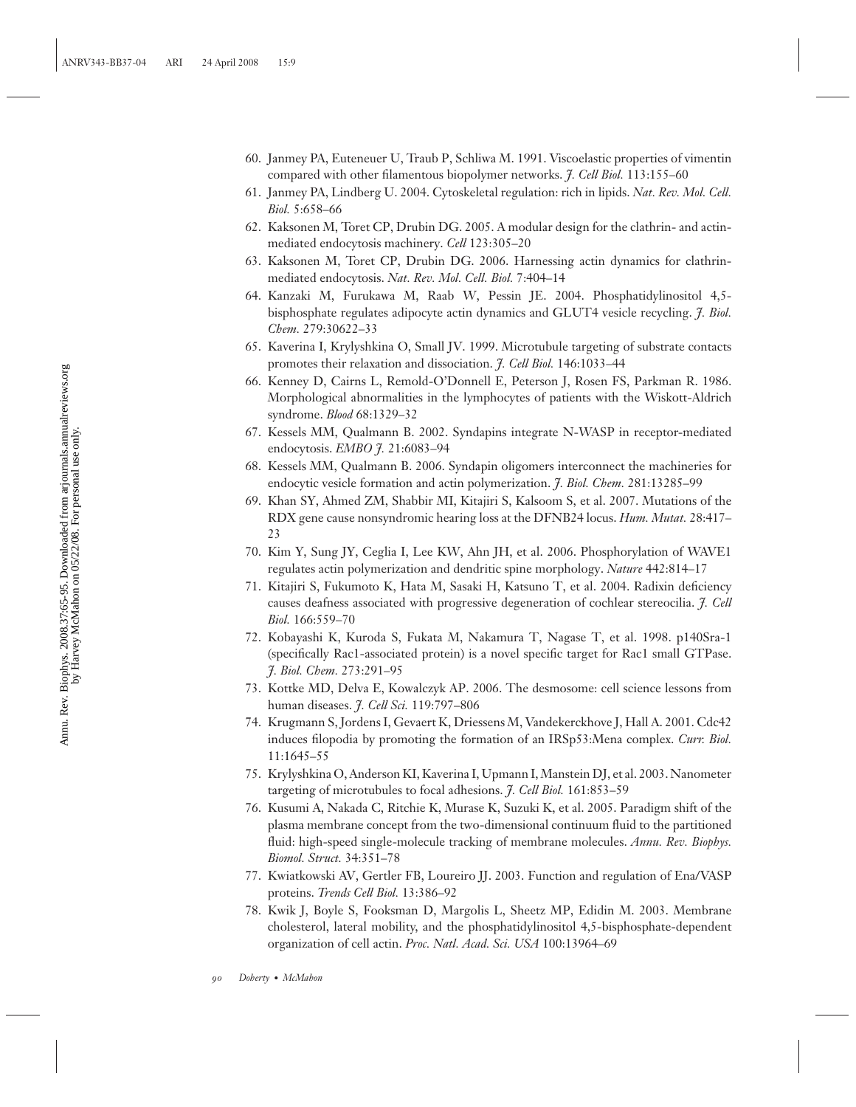- 60. Janmey PA, Euteneuer U, Traub P, Schliwa M. 1991. Viscoelastic properties of vimentin compared with other filamentous biopolymer networks. *J. Cell Biol.* 113:155–60
- 61. Janmey PA, Lindberg U. 2004. Cytoskeletal regulation: rich in lipids. *Nat. Rev. Mol. Cell. Biol.* 5:658–66
- 62. Kaksonen M, Toret CP, Drubin DG. 2005. A modular design for the clathrin- and actinmediated endocytosis machinery. *Cell* 123:305–20
- 63. Kaksonen M, Toret CP, Drubin DG. 2006. Harnessing actin dynamics for clathrinmediated endocytosis. *Nat. Rev. Mol. Cell. Biol.* 7:404–14
- 64. Kanzaki M, Furukawa M, Raab W, Pessin JE. 2004. Phosphatidylinositol 4,5 bisphosphate regulates adipocyte actin dynamics and GLUT4 vesicle recycling. *J. Biol. Chem.* 279:30622–33
- 65. Kaverina I, Krylyshkina O, Small JV. 1999. Microtubule targeting of substrate contacts promotes their relaxation and dissociation. *J. Cell Biol.* 146:1033–44
- 66. Kenney D, Cairns L, Remold-O'Donnell E, Peterson J, Rosen FS, Parkman R. 1986. Morphological abnormalities in the lymphocytes of patients with the Wiskott-Aldrich syndrome. *Blood* 68:1329–32
- 67. Kessels MM, Qualmann B. 2002. Syndapins integrate N-WASP in receptor-mediated endocytosis. *EMBO J.* 21:6083–94
- 68. Kessels MM, Qualmann B. 2006. Syndapin oligomers interconnect the machineries for endocytic vesicle formation and actin polymerization. *J. Biol. Chem.* 281:13285–99
- 69. Khan SY, Ahmed ZM, Shabbir MI, Kitajiri S, Kalsoom S, et al. 2007. Mutations of the RDX gene cause nonsyndromic hearing loss at the DFNB24 locus. *Hum. Mutat.* 28:417– 23
- 70. Kim Y, Sung JY, Ceglia I, Lee KW, Ahn JH, et al. 2006. Phosphorylation of WAVE1 regulates actin polymerization and dendritic spine morphology. *Nature* 442:814–17
- 71. Kitajiri S, Fukumoto K, Hata M, Sasaki H, Katsuno T, et al. 2004. Radixin deficiency causes deafness associated with progressive degeneration of cochlear stereocilia. *J. Cell Biol.* 166:559–70
- 72. Kobayashi K, Kuroda S, Fukata M, Nakamura T, Nagase T, et al. 1998. p140Sra-1 (specifically Rac1-associated protein) is a novel specific target for Rac1 small GTPase. *J. Biol. Chem.* 273:291–95
- 73. Kottke MD, Delva E, Kowalczyk AP. 2006. The desmosome: cell science lessons from human diseases. *J. Cell Sci.* 119:797–806
- 74. Krugmann S, Jordens I, Gevaert K, Driessens M, Vandekerckhove J, Hall A. 2001. Cdc42 induces filopodia by promoting the formation of an IRSp53:Mena complex. *Curr. Biol.* 11:1645–55
- 75. Krylyshkina O, Anderson KI, Kaverina I, Upmann I, Manstein DJ, et al. 2003. Nanometer targeting of microtubules to focal adhesions. *J. Cell Biol.* 161:853–59
- 76. Kusumi A, Nakada C, Ritchie K, Murase K, Suzuki K, et al. 2005. Paradigm shift of the plasma membrane concept from the two-dimensional continuum fluid to the partitioned fluid: high-speed single-molecule tracking of membrane molecules. *Annu. Rev. Biophys. Biomol. Struct.* 34:351–78
- 77. Kwiatkowski AV, Gertler FB, Loureiro JJ. 2003. Function and regulation of Ena/VASP proteins. *Trends Cell Biol.* 13:386–92
- 78. Kwik J, Boyle S, Fooksman D, Margolis L, Sheetz MP, Edidin M. 2003. Membrane cholesterol, lateral mobility, and the phosphatidylinositol 4,5-bisphosphate-dependent organization of cell actin. *Proc. Natl. Acad. Sci. USA* 100:13964–69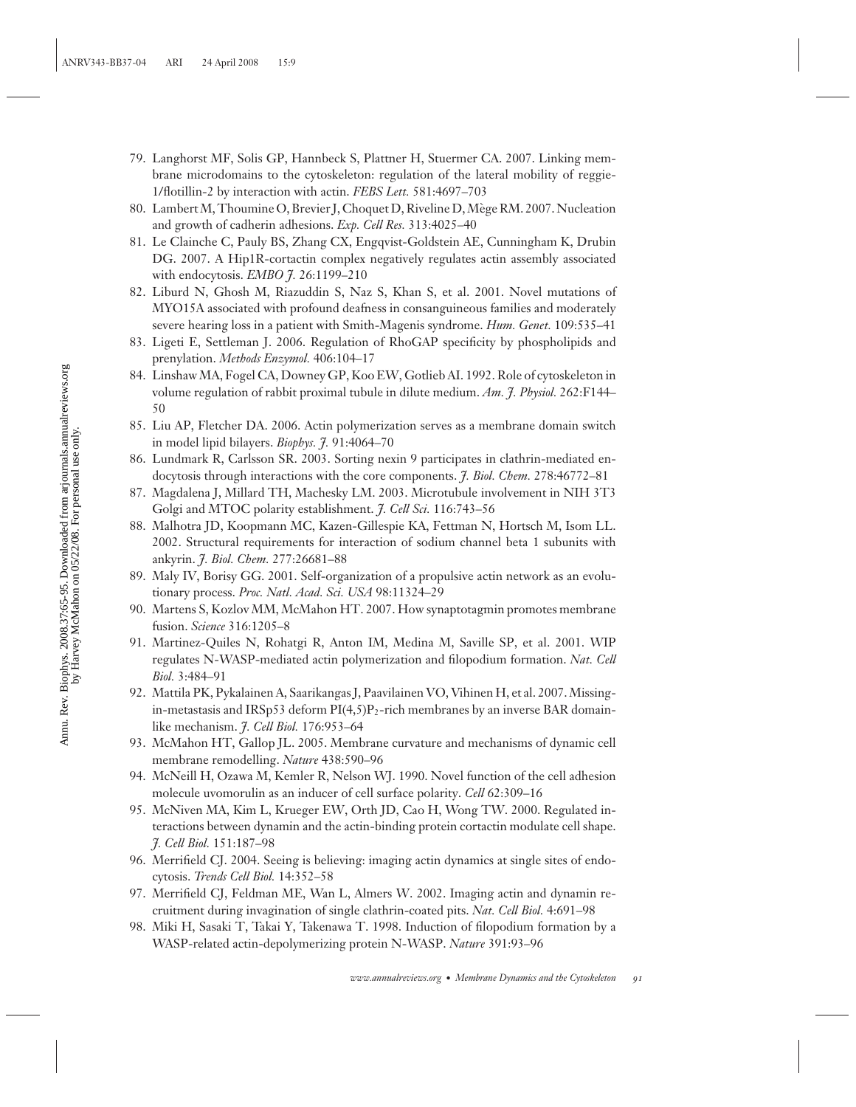- 79. Langhorst MF, Solis GP, Hannbeck S, Plattner H, Stuermer CA. 2007. Linking membrane microdomains to the cytoskeleton: regulation of the lateral mobility of reggie-1/flotillin-2 by interaction with actin. *FEBS Lett.* 581:4697–703
- 80. Lambert M, Thoumine O, Brevier J, Choquet D, Riveline D, Mege RM. 2007. Nucleation ` and growth of cadherin adhesions. *Exp. Cell Res.* 313:4025–40
- 81. Le Clainche C, Pauly BS, Zhang CX, Engqvist-Goldstein AE, Cunningham K, Drubin DG. 2007. A Hip1R-cortactin complex negatively regulates actin assembly associated with endocytosis. *EMBO J.* 26:1199–210
- 82. Liburd N, Ghosh M, Riazuddin S, Naz S, Khan S, et al. 2001. Novel mutations of MYO15A associated with profound deafness in consanguineous families and moderately severe hearing loss in a patient with Smith-Magenis syndrome. *Hum. Genet.* 109:535–41
- 83. Ligeti E, Settleman J. 2006. Regulation of RhoGAP specificity by phospholipids and prenylation. *Methods Enzymol.* 406:104–17
- 84. Linshaw MA, Fogel CA, Downey GP, Koo EW, Gotlieb AI. 1992. Role of cytoskeleton in volume regulation of rabbit proximal tubule in dilute medium. *Am. J. Physiol.* 262:F144– 50
- 85. Liu AP, Fletcher DA. 2006. Actin polymerization serves as a membrane domain switch in model lipid bilayers. *Biophys. J.* 91:4064–70
- 86. Lundmark R, Carlsson SR. 2003. Sorting nexin 9 participates in clathrin-mediated endocytosis through interactions with the core components. *J. Biol. Chem.* 278:46772–81
- 87. Magdalena J, Millard TH, Machesky LM. 2003. Microtubule involvement in NIH 3T3 Golgi and MTOC polarity establishment. *J. Cell Sci.* 116:743–56
- 88. Malhotra JD, Koopmann MC, Kazen-Gillespie KA, Fettman N, Hortsch M, Isom LL. 2002. Structural requirements for interaction of sodium channel beta 1 subunits with ankyrin. *J. Biol. Chem.* 277:26681–88
- 89. Maly IV, Borisy GG. 2001. Self-organization of a propulsive actin network as an evolutionary process. *Proc. Natl. Acad. Sci. USA* 98:11324–29
- 90. Martens S, Kozlov MM, McMahon HT. 2007. How synaptotagmin promotes membrane fusion. *Science* 316:1205–8
- 91. Martinez-Quiles N, Rohatgi R, Anton IM, Medina M, Saville SP, et al. 2001. WIP regulates N-WASP-mediated actin polymerization and filopodium formation. *Nat. Cell Biol.* 3:484–91
- 92. Mattila PK, Pykalainen A, Saarikangas J, Paavilainen VO, Vihinen H, et al. 2007. Missingin-metastasis and IRSp53 deform  $PI(4,5)P_2$ -rich membranes by an inverse BAR domainlike mechanism. *J. Cell Biol.* 176:953–64
- 93. McMahon HT, Gallop JL. 2005. Membrane curvature and mechanisms of dynamic cell membrane remodelling. *Nature* 438:590–96
- 94. McNeill H, Ozawa M, Kemler R, Nelson WJ. 1990. Novel function of the cell adhesion molecule uvomorulin as an inducer of cell surface polarity. *Cell* 62:309–16
- 95. McNiven MA, Kim L, Krueger EW, Orth JD, Cao H, Wong TW. 2000. Regulated interactions between dynamin and the actin-binding protein cortactin modulate cell shape. *J. Cell Biol.* 151:187–98
- 96. Merrifield CJ. 2004. Seeing is believing: imaging actin dynamics at single sites of endocytosis. *Trends Cell Biol.* 14:352–58
- 97. Merrifield CJ, Feldman ME, Wan L, Almers W. 2002. Imaging actin and dynamin recruitment during invagination of single clathrin-coated pits. *Nat. Cell Biol.* 4:691–98
- 98. Miki H, Sasaki T, Takai Y, Takenawa T. 1998. Induction of filopodium formation by a WASP-related actin-depolymerizing protein N-WASP. *Nature* 391:93–96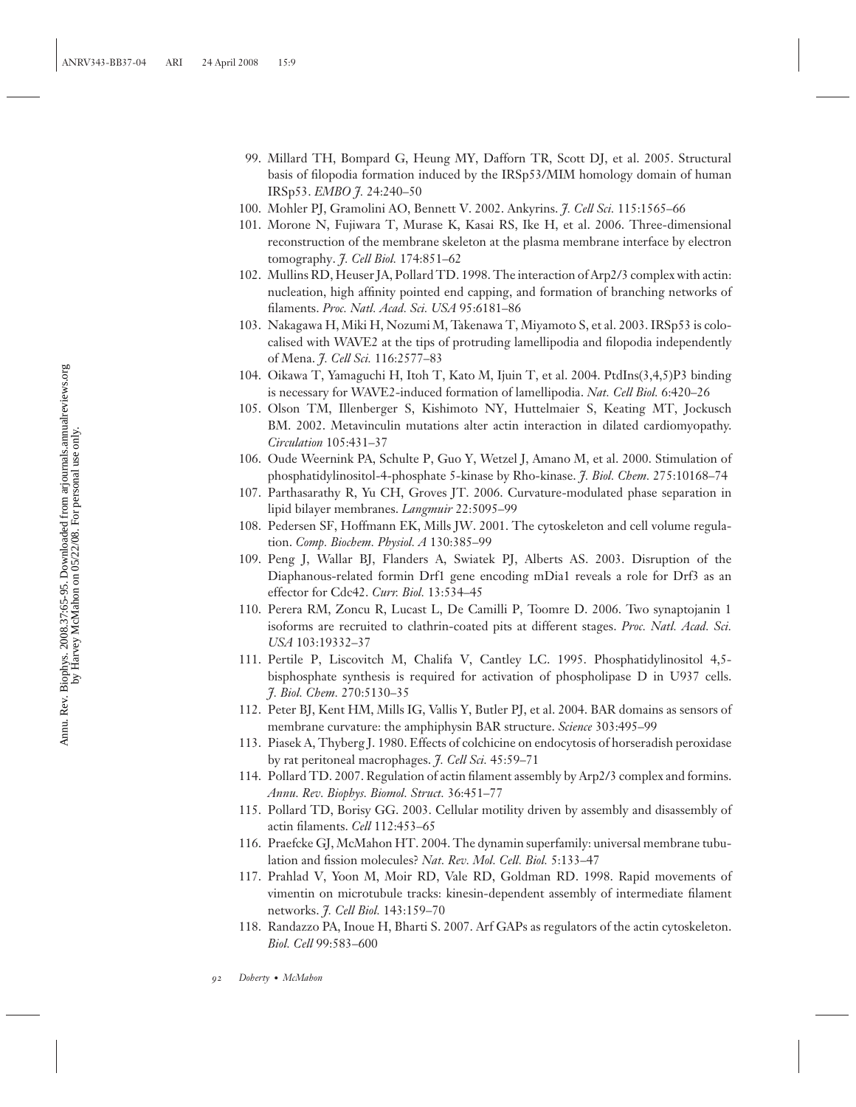- 99. Millard TH, Bompard G, Heung MY, Dafforn TR, Scott DJ, et al. 2005. Structural basis of filopodia formation induced by the IRSp53/MIM homology domain of human IRSp53. *EMBO J.* 24:240–50
- 100. Mohler PJ, Gramolini AO, Bennett V. 2002. Ankyrins. *J. Cell Sci.* 115:1565–66
- 101. Morone N, Fujiwara T, Murase K, Kasai RS, Ike H, et al. 2006. Three-dimensional reconstruction of the membrane skeleton at the plasma membrane interface by electron tomography. *J. Cell Biol.* 174:851–62
- 102. Mullins RD, Heuser JA, Pollard TD. 1998. The interaction of Arp2/3 complex with actin: nucleation, high affinity pointed end capping, and formation of branching networks of filaments. *Proc. Natl. Acad. Sci. USA* 95:6181–86
- 103. Nakagawa H, Miki H, Nozumi M, Takenawa T, Miyamoto S, et al. 2003. IRSp53 is colocalised with WAVE2 at the tips of protruding lamellipodia and filopodia independently of Mena. *J. Cell Sci.* 116:2577–83
- 104. Oikawa T, Yamaguchi H, Itoh T, Kato M, Ijuin T, et al. 2004. PtdIns(3,4,5)P3 binding is necessary for WAVE2-induced formation of lamellipodia. *Nat. Cell Biol.* 6:420–26
- 105. Olson TM, Illenberger S, Kishimoto NY, Huttelmaier S, Keating MT, Jockusch BM. 2002. Metavinculin mutations alter actin interaction in dilated cardiomyopathy. *Circulation* 105:431–37
- 106. Oude Weernink PA, Schulte P, Guo Y, Wetzel J, Amano M, et al. 2000. Stimulation of phosphatidylinositol-4-phosphate 5-kinase by Rho-kinase. *J. Biol. Chem.* 275:10168–74
- 107. Parthasarathy R, Yu CH, Groves JT. 2006. Curvature-modulated phase separation in lipid bilayer membranes. *Langmuir* 22:5095–99
- 108. Pedersen SF, Hoffmann EK, Mills JW. 2001. The cytoskeleton and cell volume regulation. *Comp. Biochem. Physiol. A* 130:385–99
- 109. Peng J, Wallar BJ, Flanders A, Swiatek PJ, Alberts AS. 2003. Disruption of the Diaphanous-related formin Drf1 gene encoding mDia1 reveals a role for Drf3 as an effector for Cdc42. *Curr. Biol.* 13:534–45
- 110. Perera RM, Zoncu R, Lucast L, De Camilli P, Toomre D. 2006. Two synaptojanin 1 isoforms are recruited to clathrin-coated pits at different stages. *Proc. Natl. Acad. Sci. USA* 103:19332–37
- 111. Pertile P, Liscovitch M, Chalifa V, Cantley LC. 1995. Phosphatidylinositol 4,5 bisphosphate synthesis is required for activation of phospholipase D in U937 cells. *J. Biol. Chem.* 270:5130–35
- 112. Peter BJ, Kent HM, Mills IG, Vallis Y, Butler PJ, et al. 2004. BAR domains as sensors of membrane curvature: the amphiphysin BAR structure. *Science* 303:495–99
- 113. Piasek A, Thyberg J. 1980. Effects of colchicine on endocytosis of horseradish peroxidase by rat peritoneal macrophages. *J. Cell Sci.* 45:59–71
- 114. Pollard TD. 2007. Regulation of actin filament assembly by Arp2/3 complex and formins. *Annu. Rev. Biophys. Biomol. Struct.* 36:451–77
- 115. Pollard TD, Borisy GG. 2003. Cellular motility driven by assembly and disassembly of actin filaments. *Cell* 112:453–65
- 116. Praefcke GJ, McMahon HT. 2004. The dynamin superfamily: universal membrane tubulation and fission molecules? *Nat. Rev. Mol. Cell. Biol.* 5:133–47
- 117. Prahlad V, Yoon M, Moir RD, Vale RD, Goldman RD. 1998. Rapid movements of vimentin on microtubule tracks: kinesin-dependent assembly of intermediate filament networks. *J. Cell Biol.* 143:159–70
- 118. Randazzo PA, Inoue H, Bharti S. 2007. Arf GAPs as regulators of the actin cytoskeleton. *Biol. Cell* 99:583–600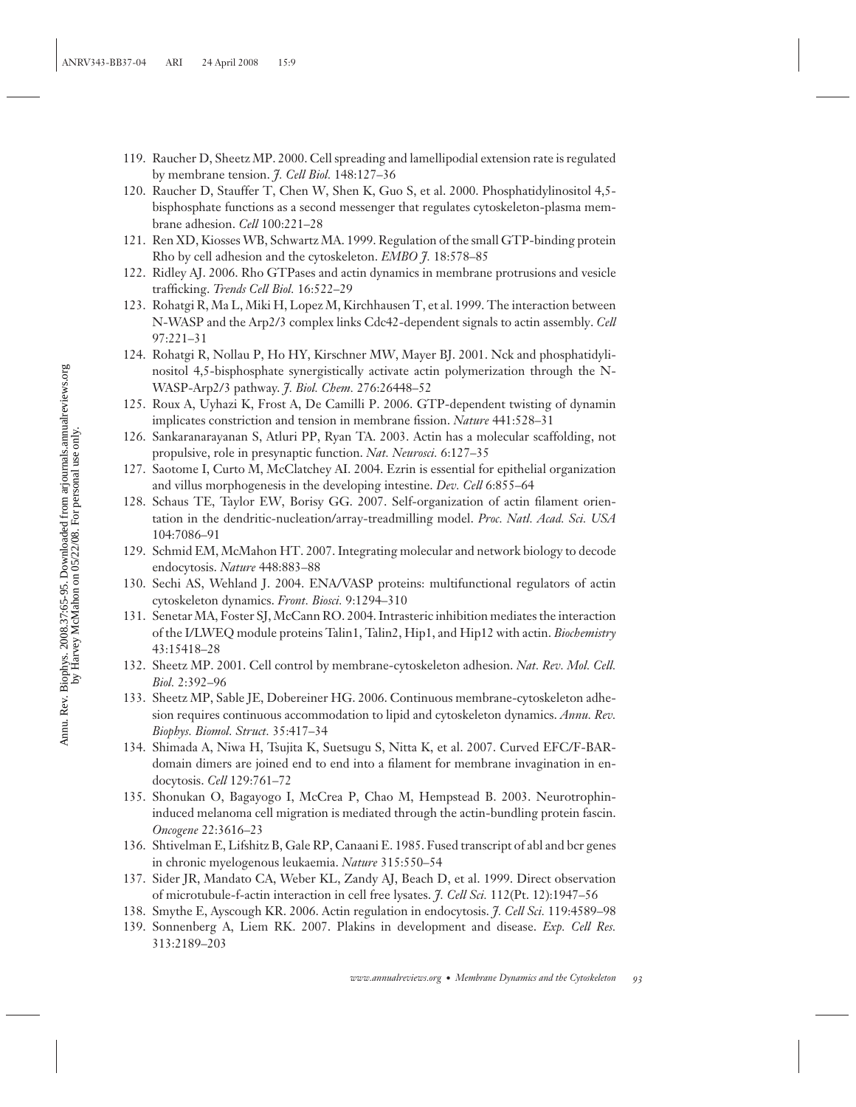- 119. Raucher D, Sheetz MP. 2000. Cell spreading and lamellipodial extension rate is regulated by membrane tension. *J. Cell Biol.* 148:127–36
- 120. Raucher D, Stauffer T, Chen W, Shen K, Guo S, et al. 2000. Phosphatidylinositol 4,5 bisphosphate functions as a second messenger that regulates cytoskeleton-plasma membrane adhesion. *Cell* 100:221–28
- 121. Ren XD, Kiosses WB, Schwartz MA. 1999. Regulation of the small GTP-binding protein Rho by cell adhesion and the cytoskeleton. *EMBO J.* 18:578–85
- 122. Ridley AJ. 2006. Rho GTPases and actin dynamics in membrane protrusions and vesicle trafficking. *Trends Cell Biol.* 16:522–29
- 123. Rohatgi R, Ma L, Miki H, Lopez M, Kirchhausen T, et al. 1999. The interaction between N-WASP and the Arp2/3 complex links Cdc42-dependent signals to actin assembly. *Cell* 97:221–31
- 124. Rohatgi R, Nollau P, Ho HY, Kirschner MW, Mayer BJ. 2001. Nck and phosphatidylinositol 4,5-bisphosphate synergistically activate actin polymerization through the N-WASP-Arp2/3 pathway. *J. Biol. Chem.* 276:26448–52
- 125. Roux A, Uyhazi K, Frost A, De Camilli P. 2006. GTP-dependent twisting of dynamin implicates constriction and tension in membrane fission. *Nature* 441:528–31
- 126. Sankaranarayanan S, Atluri PP, Ryan TA. 2003. Actin has a molecular scaffolding, not propulsive, role in presynaptic function. *Nat. Neurosci.* 6:127–35
- 127. Saotome I, Curto M, McClatchey AI. 2004. Ezrin is essential for epithelial organization and villus morphogenesis in the developing intestine. *Dev. Cell* 6:855–64
- 128. Schaus TE, Taylor EW, Borisy GG. 2007. Self-organization of actin filament orientation in the dendritic-nucleation/array-treadmilling model. *Proc. Natl. Acad. Sci. USA* 104:7086–91
- 129. Schmid EM, McMahon HT. 2007. Integrating molecular and network biology to decode endocytosis. *Nature* 448:883–88
- 130. Sechi AS, Wehland J. 2004. ENA/VASP proteins: multifunctional regulators of actin cytoskeleton dynamics. *Front. Biosci.* 9:1294–310
- 131. Senetar MA, Foster SJ, McCann RO. 2004. Intrasteric inhibition mediates the interaction of the I/LWEQ module proteins Talin1, Talin2, Hip1, and Hip12 with actin. *Biochemistry* 43:15418–28
- 132. Sheetz MP. 2001. Cell control by membrane-cytoskeleton adhesion. *Nat. Rev. Mol. Cell. Biol.* 2:392–96
- 133. Sheetz MP, Sable JE, Dobereiner HG. 2006. Continuous membrane-cytoskeleton adhesion requires continuous accommodation to lipid and cytoskeleton dynamics. *Annu. Rev. Biophys. Biomol. Struct.* 35:417–34
- 134. Shimada A, Niwa H, Tsujita K, Suetsugu S, Nitta K, et al. 2007. Curved EFC/F-BARdomain dimers are joined end to end into a filament for membrane invagination in endocytosis. *Cell* 129:761–72
- 135. Shonukan O, Bagayogo I, McCrea P, Chao M, Hempstead B. 2003. Neurotrophininduced melanoma cell migration is mediated through the actin-bundling protein fascin. *Oncogene* 22:3616–23
- 136. Shtivelman E, Lifshitz B, Gale RP, Canaani E. 1985. Fused transcript of abl and bcr genes in chronic myelogenous leukaemia. *Nature* 315:550–54
- 137. Sider JR, Mandato CA, Weber KL, Zandy AJ, Beach D, et al. 1999. Direct observation of microtubule-f-actin interaction in cell free lysates. *J. Cell Sci.* 112(Pt. 12):1947–56
- 138. Smythe E, Ayscough KR. 2006. Actin regulation in endocytosis. *J. Cell Sci.* 119:4589–98
- 139. Sonnenberg A, Liem RK. 2007. Plakins in development and disease. *Exp. Cell Res.* 313:2189–203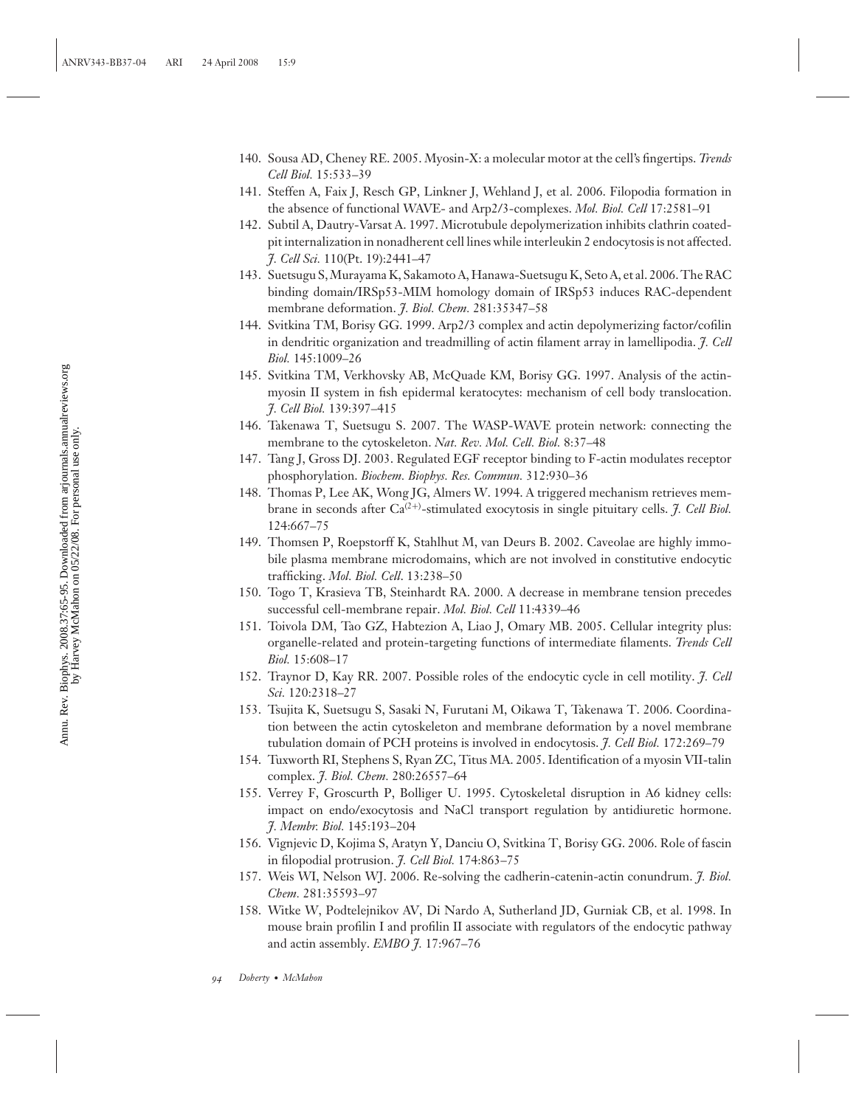- 140. Sousa AD, Cheney RE. 2005. Myosin-X: a molecular motor at the cell's fingertips. *Trends Cell Biol.* 15:533–39
- 141. Steffen A, Faix J, Resch GP, Linkner J, Wehland J, et al. 2006. Filopodia formation in the absence of functional WAVE- and Arp2/3-complexes. *Mol. Biol. Cell* 17:2581–91
- 142. Subtil A, Dautry-Varsat A. 1997. Microtubule depolymerization inhibits clathrin coatedpit internalization in nonadherent cell lines while interleukin 2 endocytosis is not affected. *J. Cell Sci.* 110(Pt. 19):2441–47
- 143. Suetsugu S, Murayama K, Sakamoto A, Hanawa-Suetsugu K, Seto A, et al. 2006. The RAC binding domain/IRSp53-MIM homology domain of IRSp53 induces RAC-dependent membrane deformation. *J. Biol. Chem.* 281:35347–58
- 144. Svitkina TM, Borisy GG. 1999. Arp2/3 complex and actin depolymerizing factor/cofilin in dendritic organization and treadmilling of actin filament array in lamellipodia. *J. Cell Biol.* 145:1009–26
- 145. Svitkina TM, Verkhovsky AB, McQuade KM, Borisy GG. 1997. Analysis of the actinmyosin II system in fish epidermal keratocytes: mechanism of cell body translocation. *J. Cell Biol.* 139:397–415
- 146. Takenawa T, Suetsugu S. 2007. The WASP-WAVE protein network: connecting the membrane to the cytoskeleton. *Nat. Rev. Mol. Cell. Biol.* 8:37–48
- 147. Tang J, Gross DJ. 2003. Regulated EGF receptor binding to F-actin modulates receptor phosphorylation. *Biochem. Biophys. Res. Commun.* 312:930–36
- 148. Thomas P, Lee AK, Wong JG, Almers W. 1994. A triggered mechanism retrieves membrane in seconds after Ca<sup>(2+)</sup>-stimulated exocytosis in single pituitary cells. *J. Cell Biol.* 124:667–75
- 149. Thomsen P, Roepstorff K, Stahlhut M, van Deurs B. 2002. Caveolae are highly immobile plasma membrane microdomains, which are not involved in constitutive endocytic trafficking. *Mol. Biol. Cell*. 13:238–50
- 150. Togo T, Krasieva TB, Steinhardt RA. 2000. A decrease in membrane tension precedes successful cell-membrane repair. *Mol. Biol. Cell* 11:4339–46
- 151. Toivola DM, Tao GZ, Habtezion A, Liao J, Omary MB. 2005. Cellular integrity plus: organelle-related and protein-targeting functions of intermediate filaments. *Trends Cell Biol.* 15:608–17
- 152. Traynor D, Kay RR. 2007. Possible roles of the endocytic cycle in cell motility. *J. Cell Sci.* 120:2318–27
- 153. Tsujita K, Suetsugu S, Sasaki N, Furutani M, Oikawa T, Takenawa T. 2006. Coordination between the actin cytoskeleton and membrane deformation by a novel membrane tubulation domain of PCH proteins is involved in endocytosis. *J. Cell Biol.* 172:269–79
- 154. Tuxworth RI, Stephens S, Ryan ZC, Titus MA. 2005. Identification of a myosin VII-talin complex. *J. Biol. Chem.* 280:26557–64
- 155. Verrey F, Groscurth P, Bolliger U. 1995. Cytoskeletal disruption in A6 kidney cells: impact on endo/exocytosis and NaCl transport regulation by antidiuretic hormone. *J. Membr. Biol.* 145:193–204
- 156. Vignjevic D, Kojima S, Aratyn Y, Danciu O, Svitkina T, Borisy GG. 2006. Role of fascin in filopodial protrusion. *J. Cell Biol.* 174:863–75
- 157. Weis WI, Nelson WJ. 2006. Re-solving the cadherin-catenin-actin conundrum. *J. Biol. Chem.* 281:35593–97
- 158. Witke W, Podtelejnikov AV, Di Nardo A, Sutherland JD, Gurniak CB, et al. 1998. In mouse brain profilin I and profilin II associate with regulators of the endocytic pathway and actin assembly. *EMBO J.* 17:967–76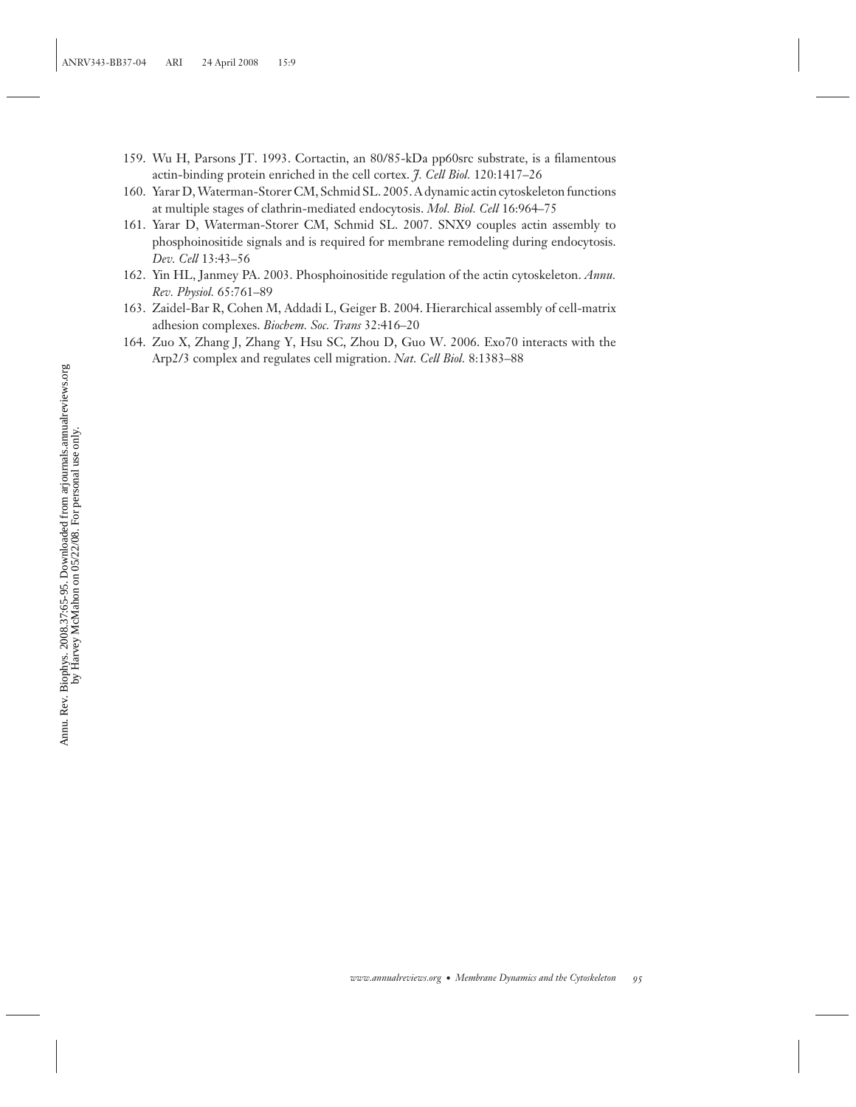- 159. Wu H, Parsons JT. 1993. Cortactin, an 80/85-kDa pp60src substrate, is a filamentous actin-binding protein enriched in the cell cortex. *J. Cell Biol.* 120:1417–26
- 160. Yarar D, Waterman-Storer CM, Schmid SL. 2005. A dynamic actin cytoskeleton functions at multiple stages of clathrin-mediated endocytosis. *Mol. Biol. Cell* 16:964–75
- 161. Yarar D, Waterman-Storer CM, Schmid SL. 2007. SNX9 couples actin assembly to phosphoinositide signals and is required for membrane remodeling during endocytosis. *Dev. Cell* 13:43–56
- 162. Yin HL, Janmey PA. 2003. Phosphoinositide regulation of the actin cytoskeleton. *Annu. Rev. Physiol.* 65:761–89
- 163. Zaidel-Bar R, Cohen M, Addadi L, Geiger B. 2004. Hierarchical assembly of cell-matrix adhesion complexes. *Biochem. Soc. Trans* 32:416–20
- 164. Zuo X, Zhang J, Zhang Y, Hsu SC, Zhou D, Guo W. 2006. Exo70 interacts with the Arp2/3 complex and regulates cell migration. *Nat. Cell Biol.* 8:1383–88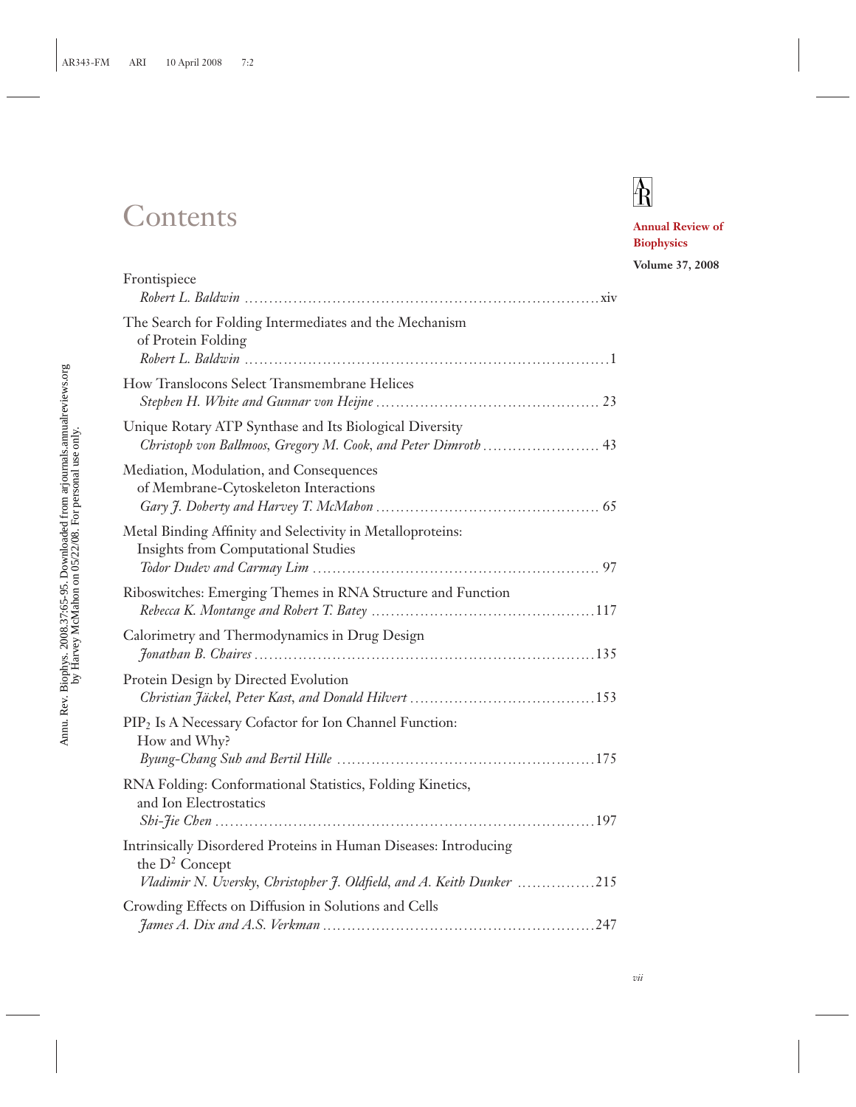## **Contents**

# $\mathbf{A}$

**Annual Review of Biophysics**

**Volume 37, 2008**

| Frontispiece                                                                                                                                                   |
|----------------------------------------------------------------------------------------------------------------------------------------------------------------|
| The Search for Folding Intermediates and the Mechanism<br>of Protein Folding                                                                                   |
| How Translocons Select Transmembrane Helices                                                                                                                   |
| Unique Rotary ATP Synthase and Its Biological Diversity                                                                                                        |
| Mediation, Modulation, and Consequences<br>of Membrane-Cytoskeleton Interactions                                                                               |
| Metal Binding Affinity and Selectivity in Metalloproteins:<br><b>Insights from Computational Studies</b>                                                       |
| Riboswitches: Emerging Themes in RNA Structure and Function                                                                                                    |
| Calorimetry and Thermodynamics in Drug Design                                                                                                                  |
| Protein Design by Directed Evolution                                                                                                                           |
| PIP <sub>2</sub> Is A Necessary Cofactor for Ion Channel Function:<br>How and Why?                                                                             |
| RNA Folding: Conformational Statistics, Folding Kinetics,<br>and Ion Electrostatics                                                                            |
| Intrinsically Disordered Proteins in Human Diseases: Introducing<br>the $D^2$ Concept<br>Vladimir N. Uversky, Christopher J. Oldfield, and A. Keith Dunker 215 |
| Crowding Effects on Diffusion in Solutions and Cells                                                                                                           |